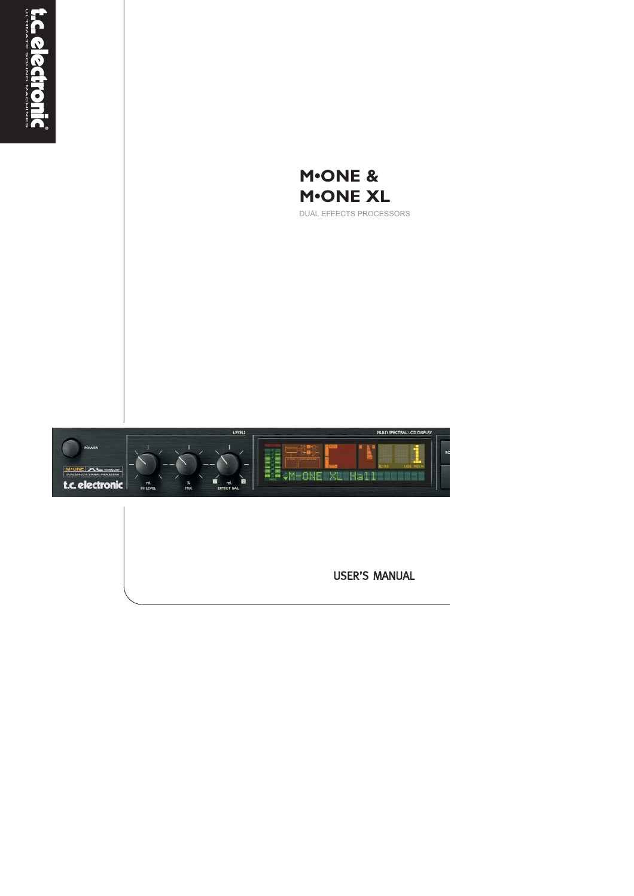



DUAL EFFECTS PROCESSORS



USER'S MANUAL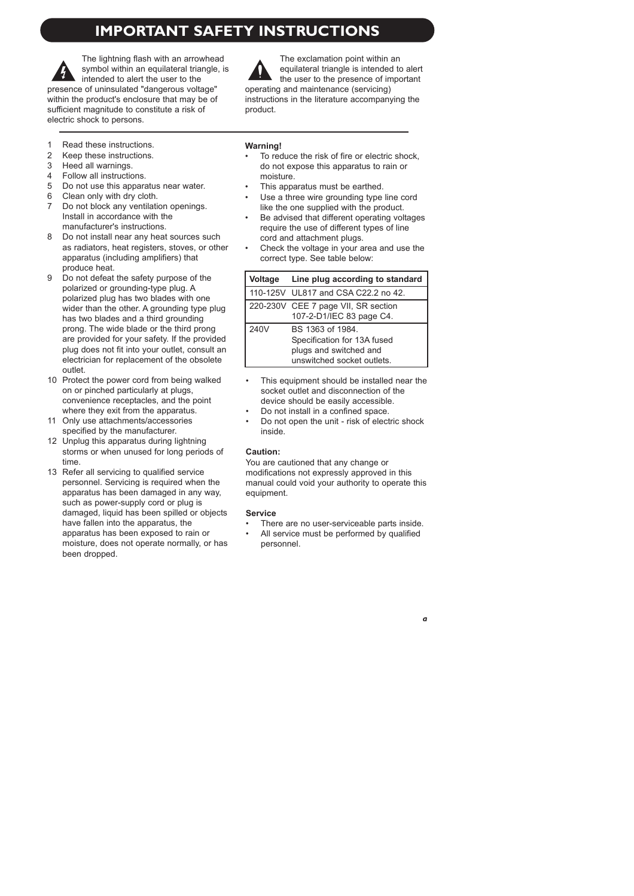# **IMPORTANT SAFETY INSTRUCTIONS**

The lightning flash with an arrowhead symbol within an equilateral triangle, is intended to alert the user to the presence of uninsulated "dangerous voltage" within the product's enclosure that may be of sufficient magnitude to constitute a risk of electric shock to persons.

The exclamation point within an equilateral triangle is intended to alert the user to the presence of important operating and maintenance (servicing) instructions in the literature accompanying the product.

- 1 Read these instructions.<br>2 Keen these instructions
- 2 Keep these instructions.<br>3 Heed all warnings
- Heed all warnings.
- 4 Follow all instructions.
- 5 Do not use this apparatus near water.
- 6 Clean only with dry cloth.<br>7 Do not block any ventilation
- Do not block any ventilation openings. Install in accordance with the manufacturer's instructions.
- 8 Do not install near any heat sources such as radiators, heat registers, stoves, or other apparatus (including amplifiers) that produce heat.
- 9 Do not defeat the safety purpose of the polarized or grounding-type plug. A polarized plug has two blades with one wider than the other. A grounding type plug has two blades and a third grounding prong. The wide blade or the third prong are provided for your safety. If the provided plug does not fit into your outlet, consult an electrician for replacement of the obsolete outlet.
- 10 Protect the power cord from being walked on or pinched particularly at plugs, convenience receptacles, and the point where they exit from the apparatus.
- 11 Only use attachments/accessories specified by the manufacturer.
- 12 Unplug this apparatus during lightning storms or when unused for long periods of time.
- 13 Refer all servicing to qualified service personnel. Servicing is required when the apparatus has been damaged in any way, such as power-supply cord or plug is damaged, liquid has been spilled or objects have fallen into the apparatus, the apparatus has been exposed to rain or moisture, does not operate normally, or has been dropped.

### **Warning!**

- To reduce the risk of fire or electric shock. do not expose this apparatus to rain or moisture.
- This apparatus must be earthed.
- Use a three wire grounding type line cord like the one supplied with the product.
- Be advised that different operating voltages require the use of different types of line cord and attachment plugs.
- Check the voltage in your area and use the correct type. See table below:

| Voltage | Line plug according to standard                                                                         |
|---------|---------------------------------------------------------------------------------------------------------|
|         | 110-125V UL817 and CSA C22.2 no 42.                                                                     |
|         | 220-230V CEE 7 page VII, SR section<br>107-2-D1/IEC 83 page C4.                                         |
| 240V    | BS 1363 of 1984.<br>Specification for 13A fused<br>plugs and switched and<br>unswitched socket outlets. |

- This equipment should be installed near the socket outlet and disconnection of the device should be easily accessible.
- Do not install in a confined space.
- Do not open the unit risk of electric shock inside.

### **Caution:**

You are cautioned that any change or modifications not expressly approved in this manual could void your authority to operate this equipment.

### **Service**

- There are no user-serviceable parts inside.
- All service must be performed by qualified personnel.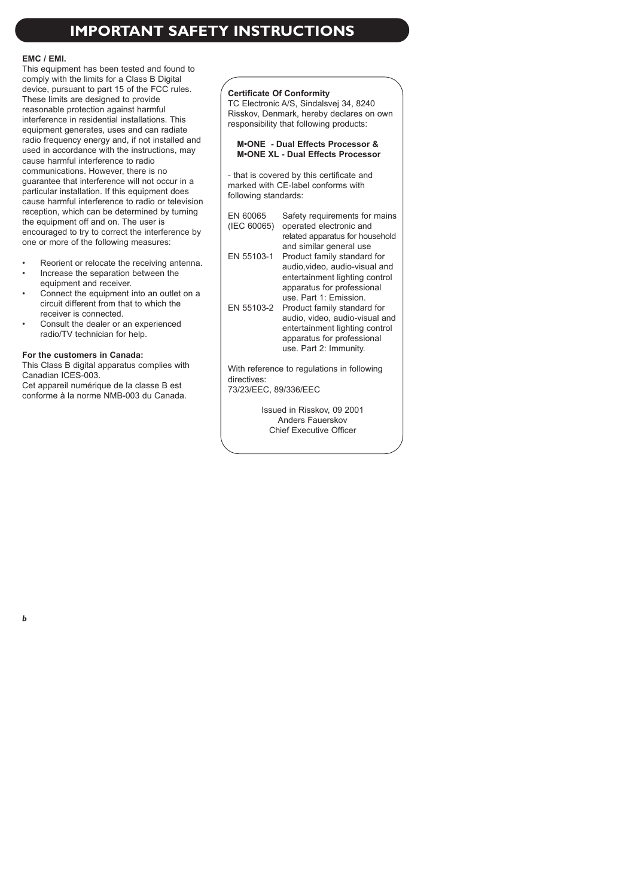# **IMPORTANT SAFETY INSTRUCTIONS**

### **EMC / EMI.**

This equipment has been tested and found to comply with the limits for a Class B Digital device, pursuant to part 15 of the FCC rules. These limits are designed to provide reasonable protection against harmful interference in residential installations. This equipment generates, uses and can radiate radio frequency energy and, if not installed and used in accordance with the instructions, may cause harmful interference to radio communications. However, there is no guarantee that interference will not occur in a particular installation. If this equipment does cause harmful interference to radio or television reception, which can be determined by turning the equipment off and on. The user is encouraged to try to correct the interference by one or more of the following measures:

- Reorient or relocate the receiving antenna.
- Increase the separation between the equipment and receiver.
- Connect the equipment into an outlet on a circuit different from that to which the receiver is connected.
- Consult the dealer or an experienced radio/TV technician for help.

### **For the customers in Canada:**

This Class B digital apparatus complies with Canadian ICES-003.

Cet appareil numérique de la classe B est conforme à la norme NMB-003 du Canada.

#### **Certificate Of Conformity**

TC Electronic A/S, Sindalsvej 34, 8240 Risskov, Denmark, hereby declares on own responsibility that following products:

### **M•ONE - Dual Effects Processor & M•ONE XL - Dual Effects Processor**

- that is covered by this certificate and marked with CE-label conforms with following standards:

- EN 60065 Safety requirements for mains
- (IEC 60065) operated electronic and related apparatus for household and similar general use
- EN 55103-1 Product family standard for audio,video, audio-visual and entertainment lighting control apparatus for professional use. Part 1: Emission.
- EN 55103-2 Product family standard for audio, video, audio-visual and entertainment lighting control apparatus for professional use. Part 2: Immunity.

With reference to regulations in following directives: 73/23/EEC, 89/336/EEC

Issued in Risskov, 09 2001 Anders Fauerskov Chief Executive Officer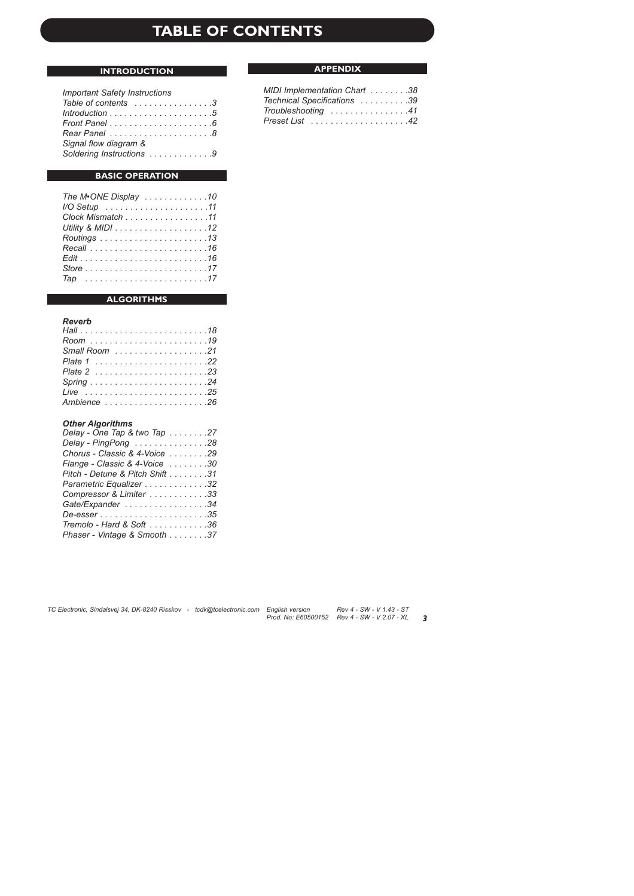# **TABLE OF CONTENTS**

### **INTRODUCTION**

#### *Important Safety Instructions*

| Table of contents $\dots \dots \dots \dots \dots$ 3                    |  |  |  |  |  |  |
|------------------------------------------------------------------------|--|--|--|--|--|--|
| $Introduction \dots \dots \dots \dots \dots \dots \dots \dots \dots 5$ |  |  |  |  |  |  |
|                                                                        |  |  |  |  |  |  |
|                                                                        |  |  |  |  |  |  |
| Signal flow diagram &                                                  |  |  |  |  |  |  |
| Soldering Instructions 9                                               |  |  |  |  |  |  |

### **BASIC OPERATION**

| The M <sup>®</sup> ONE Display 10 |  |
|-----------------------------------|--|
|                                   |  |
| Clock Mismatch 11                 |  |
|                                   |  |
|                                   |  |
|                                   |  |
|                                   |  |
|                                   |  |
|                                   |  |

### **ALGORITHMS**

### *Reverb*

| Ambience 26 |
|-------------|

#### *Other Algorithms*

| Delay - One Tap & two Tap 27    |
|---------------------------------|
| Delay - PingPong 28             |
| Chorus - Classic & 4-Voice 29   |
| Flange - Classic & 4-Voice 30   |
| Pitch - Detune & Pitch Shift 31 |
| Parametric Equalizer 32         |
| Compressor & Limiter 33         |
| Gate/Expander 34                |
| De-esser35                      |
| Tremolo - Hard & Soft 36        |
| Phaser - Vintage & Smooth 37    |

### **APPENDIX**

| MIDI Implementation Chart 38                        |  |
|-----------------------------------------------------|--|
| Technical Specifications 39                         |  |
| $Troubles hooting \dots \dots \dots \dots \dots 41$ |  |
|                                                     |  |

*3*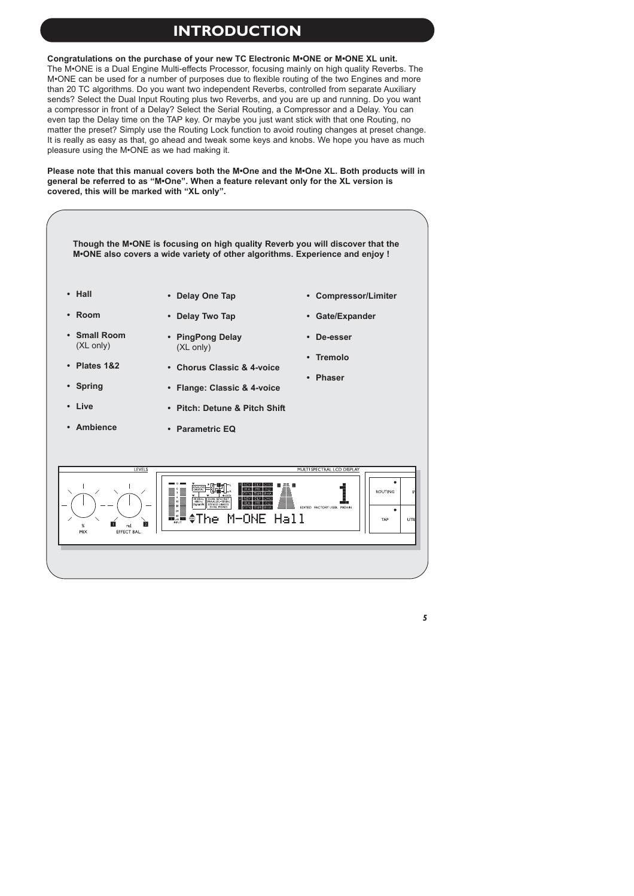# **INTRODUCTION**

**Congratulations on the purchase of your new TC Electronic M•ONE or M•ONE XL unit.** 

The M•ONE is a Dual Engine Multi-effects Processor, focusing mainly on high quality Reverbs. The M•ONE can be used for a number of purposes due to flexible routing of the two Engines and more than 20 TC algorithms. Do you want two independent Reverbs, controlled from separate Auxiliary sends? Select the Dual Input Routing plus two Reverbs, and you are up and running. Do you want a compressor in front of a Delay? Select the Serial Routing, a Compressor and a Delay. You can even tap the Delay time on the TAP key. Or maybe you just want stick with that one Routing, no matter the preset? Simply use the Routing Lock function to avoid routing changes at preset change. It is really as easy as that, go ahead and tweak some keys and knobs. We hope you have as much pleasure using the M•ONE as we had making it.

**Please note that this manual covers both the M•One and the M•One XL. Both products will in general be referred to as "M•One". When a feature relevant only for the XL version is covered, this will be marked with "XL only".**

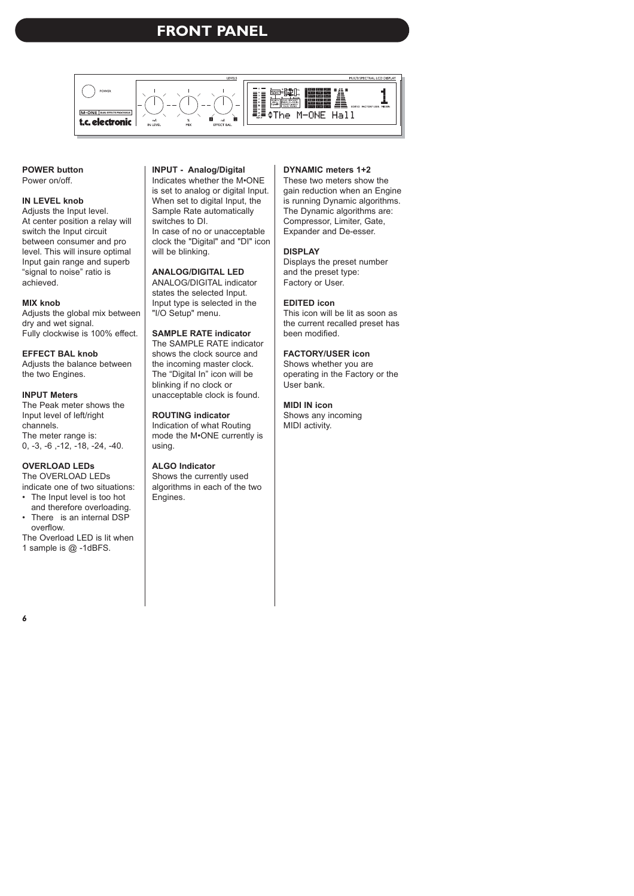# **FRONT PANEL**



#### **POWER button** Power on/off

### **IN LEVEL knob**

Adjusts the Input level. At center position a relay will switch the Input circuit between consumer and pro level. This will insure optimal Input gain range and superb "signal to noise" ratio is achieved.

### **MIX knob**

Adjusts the global mix between dry and wet signal. Fully clockwise is 100% effect.

### **EFFECT BAL knob**

Adjusts the balance between the two Engines.

### **INPUT Meters**

The Peak meter shows the Input level of left/right channels. The meter range is: 0, -3, -6 ,-12, -18, -24, -40.

### **OVERLOAD LEDs**

The OVERLOAD LEDs indicate one of two situations:

- The Input level is too hot and therefore overloading.
- There is an internal DSP overflow.

The Overload LED is lit when 1 sample is @ -1dBFS.

### **INPUT - Analog/Digital**

Indicates whether the M•ONE is set to analog or digital Input. When set to digital Input, the Sample Rate automatically switches to DI. In case of no or unacceptable clock the "Digital" and "DI" icon will be blinking.

### **ANALOG/DIGITAL LED**

ANALOG/DIGITAL indicator states the selected Input. Input type is selected in the "I/O Setup" menu.

### **SAMPLE RATE indicator**

The SAMPLE RATE indicator shows the clock source and the incoming master clock. The "Digital In" icon will be blinking if no clock or unacceptable clock is found.

### **ROUTING indicator**

Indication of what Routing mode the M•ONE currently is using.

### **ALGO Indicator**

Shows the currently used algorithms in each of the two Engines.

#### **DYNAMIC meters 1+2**

These two meters show the gain reduction when an Engine is running Dynamic algorithms. The Dynamic algorithms are: Compressor, Limiter, Gate, Expander and De-esser.

### **DISPLAY**

Displays the preset number and the preset type: Factory or User.

### **EDITED icon**

This icon will be lit as soon as the current recalled preset has been modified.

### **FACTORY/USER icon**

Shows whether you are operating in the Factory or the User bank.

### **MIDI IN icon**

Shows any incoming MIDI activity.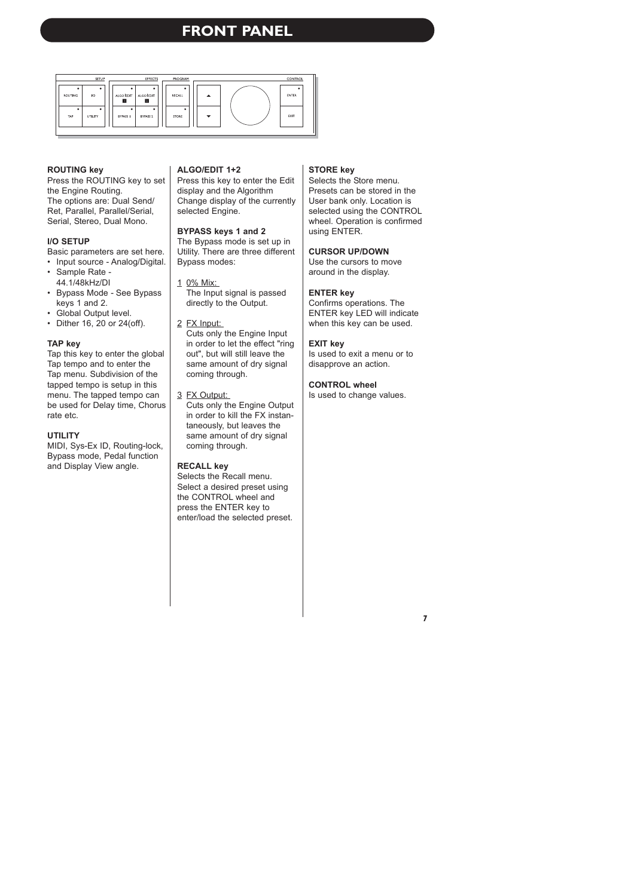# **FRONT PANEL**



#### **ROUTING key**

Press the ROUTING key to set the Engine Routing. The options are: Dual Send/ Ret, Parallel, Parallel/Serial, Serial, Stereo, Dual Mono.

### **I/O SETUP**

Basic parameters are set here.

- Input source Analog/Digital.
- Sample Rate 44.1/48kHz/DI
- Bypass Mode See Bypass keys 1 and 2.
- Global Output level.
- Dither 16, 20 or 24(off).

#### **TAP key**

Tap this key to enter the global Tap tempo and to enter the Tap menu. Subdivision of the tapped tempo is setup in this menu. The tapped tempo can be used for Delay time, Chorus rate etc.

#### **UTILITY**

MIDI, Sys-Ex ID, Routing-lock, Bypass mode, Pedal function and Display View angle.

#### **ALGO/EDIT 1+2**

Press this key to enter the Edit display and the Algorithm Change display of the currently selected Engine.

#### **BYPASS keys 1 and 2**

The Bypass mode is set up in Utility. There are three different Bypass modes:

- 1 0% Mix: The Input signal is passed directly to the Output.
- 2 FX Input: Cuts only the Engine Input in order to let the effect "ring out", but will still leave the same amount of dry signal coming through.
- 3 FX Output: Cuts only the Engine Output in order to kill the FX instantaneously, but leaves the same amount of dry signal coming through.

### **RECALL key**

Selects the Recall menu. Select a desired preset using the CONTROL wheel and press the ENTER key to enter/load the selected preset.

#### **STORE key**

Selects the Store menu. Presets can be stored in the User bank only. Location is selected using the CONTROL wheel. Operation is confirmed using ENTER.

#### **CURSOR UP/DOWN**

Use the cursors to move around in the display.

#### **ENTER key**

Confirms operations. The ENTER key LED will indicate when this key can be used.

#### **EXIT key**

Is used to exit a menu or to disapprove an action.

### **CONTROL wheel**

Is used to change values.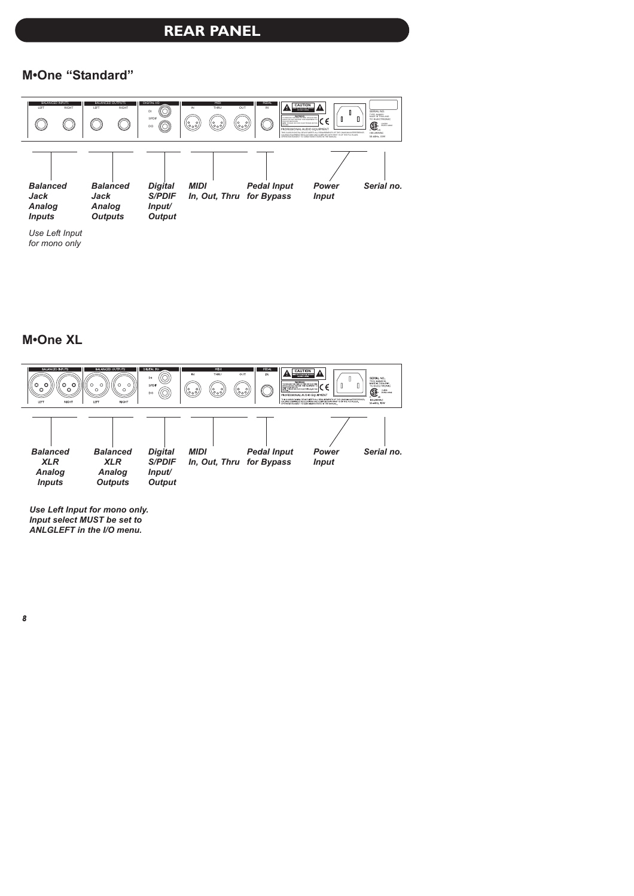# **REAR PANEL**

### **M•One "Standard"**



### **M•One XL**



*Use Left Input for mono only. Input select MUST be set to ANLGLEFT in the I/O menu.*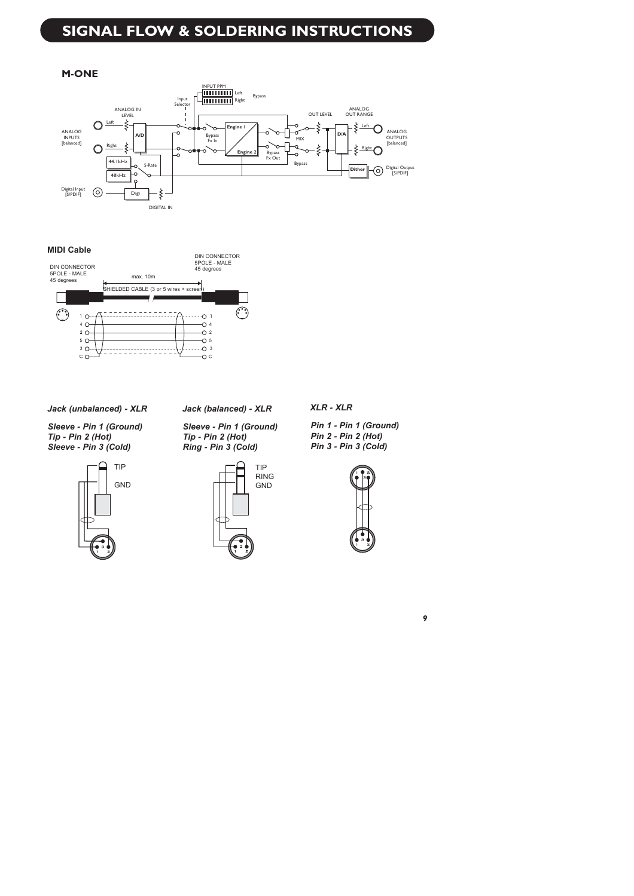# **SIGNAL FLOW & SOLDERING INSTRUCTIONS**

### **M-ONE**



### **MIDI Cable**



*Jack (unbalanced) - XLR*

*Sleeve - Pin 1 (Ground) Tip - Pin 2 (Hot) Sleeve - Pin 3 (Cold)*



*Jack (balanced) - XLR*

*Sleeve - Pin 1 (Ground) Tip - Pin 2 (Hot) Ring - Pin 3 (Cold)*



*XLR - XLR*

*Pin 1 - Pin 1 (Ground) Pin 2 - Pin 2 (Hot) Pin 3 - Pin 3 (Cold)*

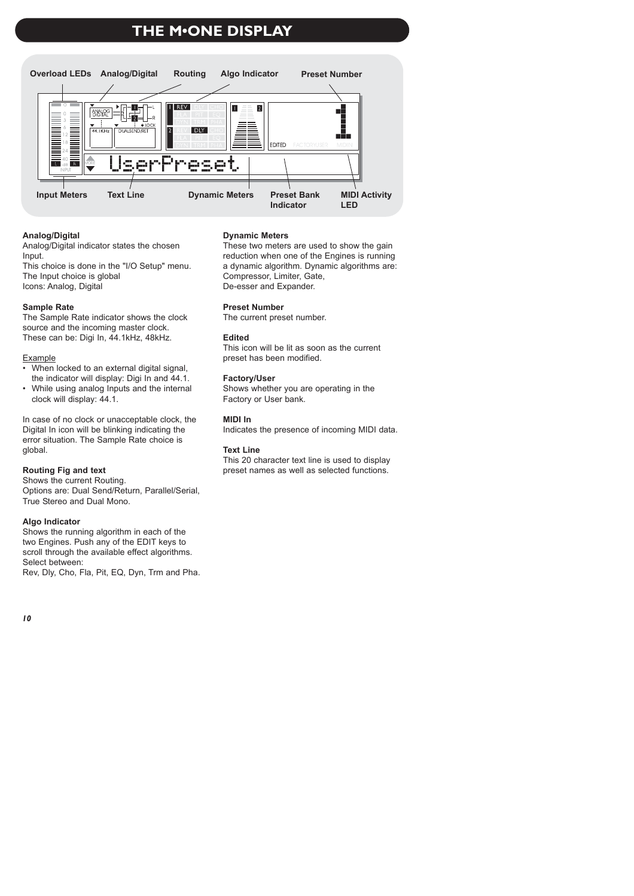# **THE M•ONE DISPLAY**



### **Analog/Digital**

Analog/Digital indicator states the chosen Input.

This choice is done in the "I/O Setup" menu. The Input choice is global Icons: Analog, Digital

### **Sample Rate**

The Sample Rate indicator shows the clock source and the incoming master clock. These can be: Digi In, 44.1kHz, 48kHz.

### Example

- When locked to an external digital signal, the indicator will display: Digi In and 44.1.
- While using analog Inputs and the internal clock will display: 44.1.

In case of no clock or unacceptable clock, the Digital In icon will be blinking indicating the error situation. The Sample Rate choice is global.

### **Routing Fig and text**

Shows the current Routing. Options are: Dual Send/Return, Parallel/Serial, True Stereo and Dual Mono.

### **Algo Indicator**

Shows the running algorithm in each of the two Engines. Push any of the EDIT keys to scroll through the available effect algorithms. Select between: Rev, Dly, Cho, Fla, Pit, EQ, Dyn, Trm and Pha.

### **Dynamic Meters**

These two meters are used to show the gain reduction when one of the Engines is running a dynamic algorithm. Dynamic algorithms are: Compressor, Limiter, Gate, De-esser and Expander.

#### **Preset Number**

The current preset number.

### **Edited**

This icon will be lit as soon as the current preset has been modified.

### **Factory/User**

Shows whether you are operating in the Factory or User bank.

#### **MIDI In**

Indicates the presence of incoming MIDI data.

#### **Text Line**

This 20 character text line is used to display preset names as well as selected functions.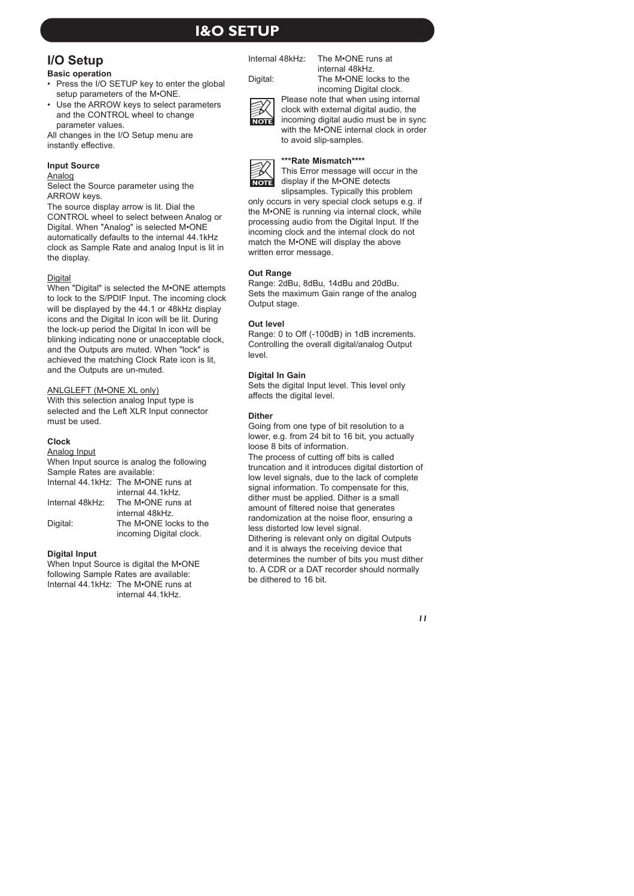# **I&O SETUP**

# **I/O Setup**

### **Basic operation**

- Press the I/O SETUP key to enter the global setup parameters of the M•ONE.
- Use the ARROW keys to select parameters and the CONTROL wheel to change parameter values.

All changes in the I/O Setup menu are instantly effective.

### **Input Source**

#### Analog

Select the Source parameter using the ARROW keys.

The source display arrow is lit. Dial the CONTROL wheel to select between Analog or Digital. When "Analog" is selected M•ONE automatically defaults to the internal 44.1kHz clock as Sample Rate and analog Input is lit in the display.

### **Digital**

When "Digital" is selected the M•ONE attempts to lock to the S/PDIF Input. The incoming clock will be displayed by the 44.1 or 48kHz display icons and the Digital In icon will be lit. During the lock-up period the Digital In icon will be blinking indicating none or unacceptable clock, and the Outputs are muted. When "lock" is achieved the matching Clock Rate icon is lit, and the Outputs are un-muted.

### ANLGLEFT (M•ONE XL only)

With this selection analog Input type is selected and the Left XLR Input connector must be used.

### **Clock**

Analog Input

When Input source is analog the following Sample Rates are available:

|                 | Internal 44.1kHz: The M•ONE runs at |
|-----------------|-------------------------------------|
|                 | internal 44.1kHz.                   |
| Internal 48kHz: | The M•ONE runs at                   |
|                 | internal 48kHz.                     |
| Digital:        | The M <sup>O</sup> NE locks to the  |
|                 | incoming Digital clock.             |

### **Digital Input**

When Input Source is digital the M•ONE following Sample Rates are available: Internal 44.1kHz: The M•ONE runs at internal 44.1kHz.

Internal 48kHz: The M•ONE runs at

Digital: The M•ONE locks to the



incoming Digital clock. Please note that when using internal clock with external digital audio, the incoming digital audio must be in sync with the M•ONE internal clock in order to avoid slip-samples.

internal 48kHz.



### **\*\*\*Rate Mismatch\*\*\*\***

This Error message will occur in the display if the M•ONE detects slipsamples. Typically this problem

only occurs in very special clock setups e.g. if the M•ONE is running via internal clock, while processing audio from the Digital Input. If the incoming clock and the internal clock do not match the M•ONE will display the above written error message.

### **Out Range**

Range: 2dBu, 8dBu, 14dBu and 20dBu. Sets the maximum Gain range of the analog Output stage.

### **Out level**

Range: 0 to Off (-100dB) in 1dB increments. Controlling the overall digital/analog Output level.

### **Digital In Gain**

Sets the digital Input level. This level only affects the digital level.

### **Dither**

Going from one type of bit resolution to a lower, e.g. from 24 bit to 16 bit, you actually loose 8 bits of information. The process of cutting off bits is called truncation and it introduces digital distortion of low level signals, due to the lack of complete signal information. To compensate for this, dither must be applied. Dither is a small amount of filtered noise that generates randomization at the noise floor, ensuring a less distorted low level signal. Dithering is relevant only on digital Outputs and it is always the receiving device that determines the number of bits you must dither

to. A CDR or a DAT recorder should normally

be dithered to 16 bit.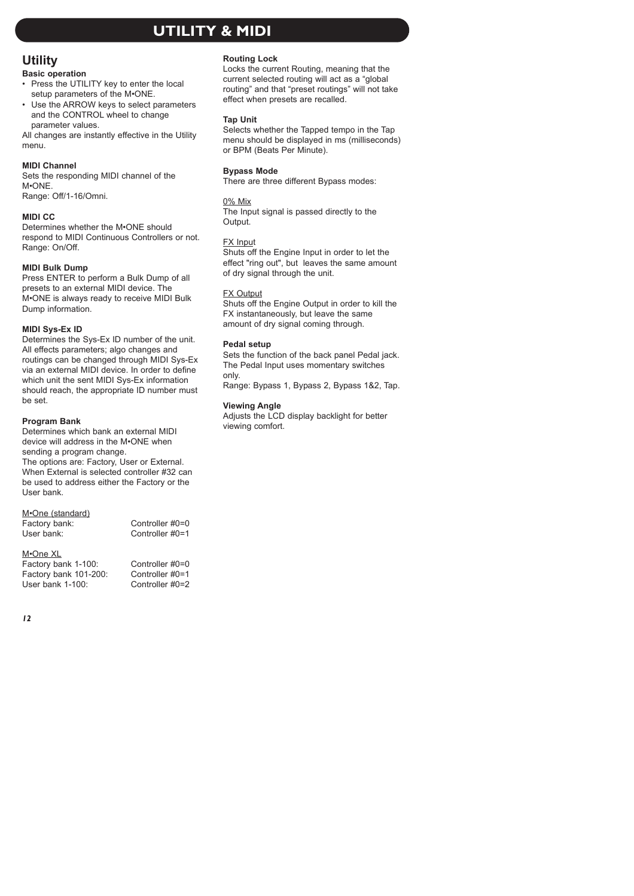# **UTILITY & MIDI**

### **Utility**

### **Basic operation**

- Press the UTILITY key to enter the local setup parameters of the M•ONE.
- Use the ARROW keys to select parameters and the CONTROL wheel to change parameter values.

All changes are instantly effective in the Utility menu.

### **MIDI Channel**

Sets the responding MIDI channel of the M•ONE.

Range: Off/1-16/Omni.

### **MIDI CC**

Determines whether the M•ONE should respond to MIDI Continuous Controllers or not. Range: On/Off.

### **MIDI Bulk Dump**

Press ENTER to perform a Bulk Dump of all presets to an external MIDI device. The M•ONE is always ready to receive MIDI Bulk Dump information.

### **MIDI Sys-Ex ID**

Determines the Sys-Ex ID number of the unit. All effects parameters; algo changes and routings can be changed through MIDI Sys-Ex via an external MIDI device. In order to define which unit the sent MIDI Sys-Ex information should reach, the appropriate ID number must be set.

### **Program Bank**

Determines which bank an external MIDI device will address in the M•ONE when sending a program change.

The options are: Factory, User or External. When External is selected controller #32 can be used to address either the Factory or the User bank.

### M•One (standard)

| Factory bank: | Controller #0=0 |
|---------------|-----------------|
| User bank:    | Controller #0=1 |

### M•One XL

| Factory bank 1-100:   | Controller #0=0 |
|-----------------------|-----------------|
| Factory bank 101-200: | Controller #0=1 |
| User bank 1-100:      | Controller #0=2 |

### **Routing Lock**

Locks the current Routing, meaning that the current selected routing will act as a "global routing" and that "preset routings" will not take effect when presets are recalled.

### **Tap Unit**

Selects whether the Tapped tempo in the Tap menu should be displayed in ms (milliseconds) or BPM (Beats Per Minute).

### **Bypass Mode**

There are three different Bypass modes:

#### 0% Mix

The Input signal is passed directly to the Output.

#### FX Input

Shuts off the Engine Input in order to let the effect "ring out", but leaves the same amount of dry signal through the unit.

### FX Output

Shuts off the Engine Output in order to kill the FX instantaneously, but leave the same amount of dry signal coming through.

### **Pedal setup**

Sets the function of the back panel Pedal jack. The Pedal Input uses momentary switches only.

Range: Bypass 1, Bypass 2, Bypass 1&2, Tap.

### **Viewing Angle**

Adjusts the LCD display backlight for better viewing comfort.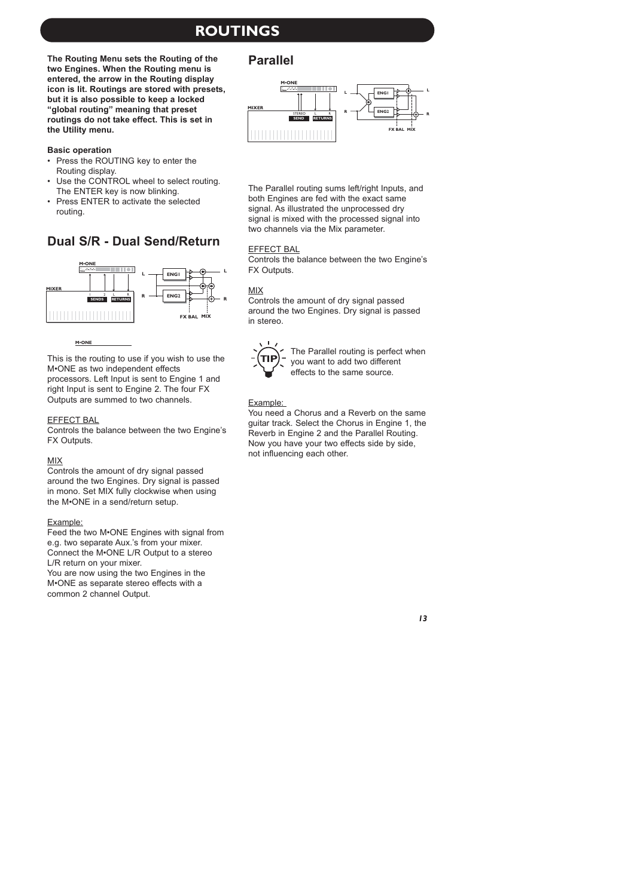# **ROUTINGS**

**The Routing Menu sets the Routing of the two Engines. When the Routing menu is entered, the arrow in the Routing display icon is lit. Routings are stored with presets, but it is also possible to keep a locked "global routing" meaning that preset routings do not take effect. This is set in the Utility menu.**

### **Basic operation**

- Press the ROUTING key to enter the Routing display.
- Use the CONTROL wheel to select routing. The ENTER key is now blinking.
- Press ENTER to activate the selected routing.

### **Dual S/R - Dual Send/Return**



**M•ONE**

This is the routing to use if you wish to use the M•ONE as two independent effects processors. Left Input is sent to Engine 1 and right Input is sent to Engine 2. The four FX Outputs are summed to two channels.

### EFFECT BAL

Controls the balance between the two Engine's FX Outputs.

#### MIX

Controls the amount of dry signal passed around the two Engines. Dry signal is passed in mono. Set MIX fully clockwise when using the M•ONE in a send/return setup.

### Example:

Feed the two M•ONE Engines with signal from e.g. two separate Aux.'s from your mixer. Connect the M•ONE L/R Output to a stereo L/R return on your mixer. You are now using the two Engines in the M•ONE as separate stereo effects with a common 2 channel Output.

### **Parallel**



The Parallel routing sums left/right Inputs, and both Engines are fed with the exact same signal. As illustrated the unprocessed dry signal is mixed with the processed signal into two channels via the Mix parameter.

### EFFECT BAL

Controls the balance between the two Engine's FX Outputs.

### MIX

Controls the amount of dry signal passed around the two Engines. Dry signal is passed in stereo.



The Parallel routing is perfect when you want to add two different effects to the same source.

### Example:

You need a Chorus and a Reverb on the same guitar track. Select the Chorus in Engine 1, the Reverb in Engine 2 and the Parallel Routing. Now you have your two effects side by side, not influencing each other.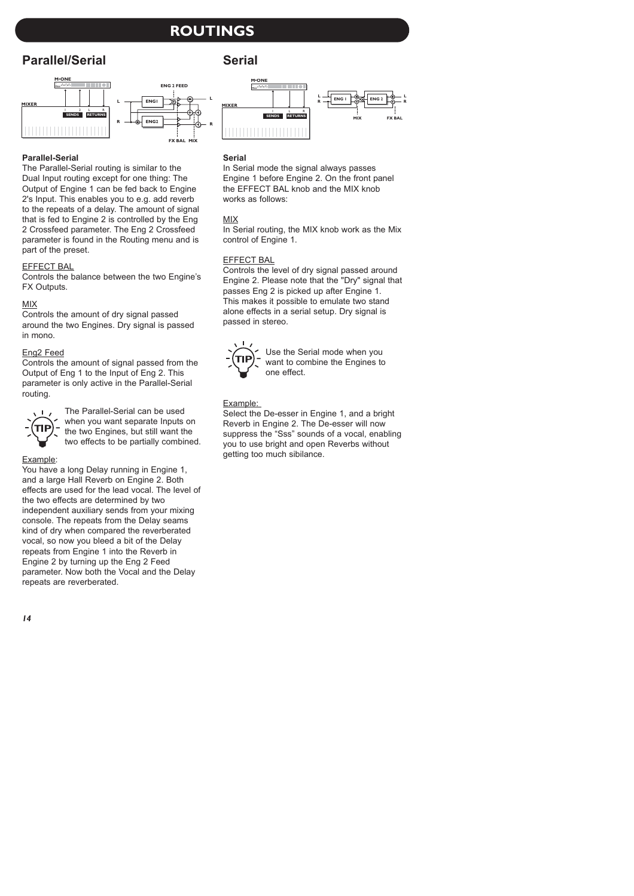# **ROUTINGS**

# **Parallel/Serial**



### **Parallel-Serial**

The Parallel-Serial routing is similar to the Dual Input routing except for one thing: The Output of Engine 1 can be fed back to Engine 2's Input. This enables you to e.g. add reverb to the repeats of a delay. The amount of signal that is fed to Engine 2 is controlled by the Eng 2 Crossfeed parameter. The Eng 2 Crossfeed parameter is found in the Routing menu and is part of the preset.

### EFFECT BAL

Controls the balance between the two Engine's **FX Outputs** 

### MIX

Controls the amount of dry signal passed around the two Engines. Dry signal is passed in mono.

### Eng2 Feed

Controls the amount of signal passed from the Output of Eng 1 to the Input of Eng 2. This parameter is only active in the Parallel-Serial routing.



The Parallel-Serial can be used when you want separate Inputs on the two Engines, but still want the two effects to be partially combined.

### Example:

You have a long Delay running in Engine 1, and a large Hall Reverb on Engine 2. Both effects are used for the lead vocal. The level of the two effects are determined by two independent auxiliary sends from your mixing console. The repeats from the Delay seams kind of dry when compared the reverberated vocal, so now you bleed a bit of the Delay repeats from Engine 1 into the Reverb in Engine 2 by turning up the Eng 2 Feed parameter. Now both the Vocal and the Delay repeats are reverberated.

### **Serial**



### **Serial**

In Serial mode the signal always passes Engine 1 before Engine 2. On the front panel the EFFECT BAL knob and the MIX knob works as follows:

### MIX

In Serial routing, the MIX knob work as the Mix control of Engine 1.

### EFFECT BAL

Controls the level of dry signal passed around Engine 2. Please note that the "Dry" signal that passes Eng 2 is picked up after Engine 1. This makes it possible to emulate two stand alone effects in a serial setup. Dry signal is passed in stereo.



Use the Serial mode when you want to combine the Engines to one effect.

### Example:

Select the De-esser in Engine 1, and a bright Reverb in Engine 2. The De-esser will now suppress the "Sss" sounds of a vocal, enabling you to use bright and open Reverbs without getting too much sibilance.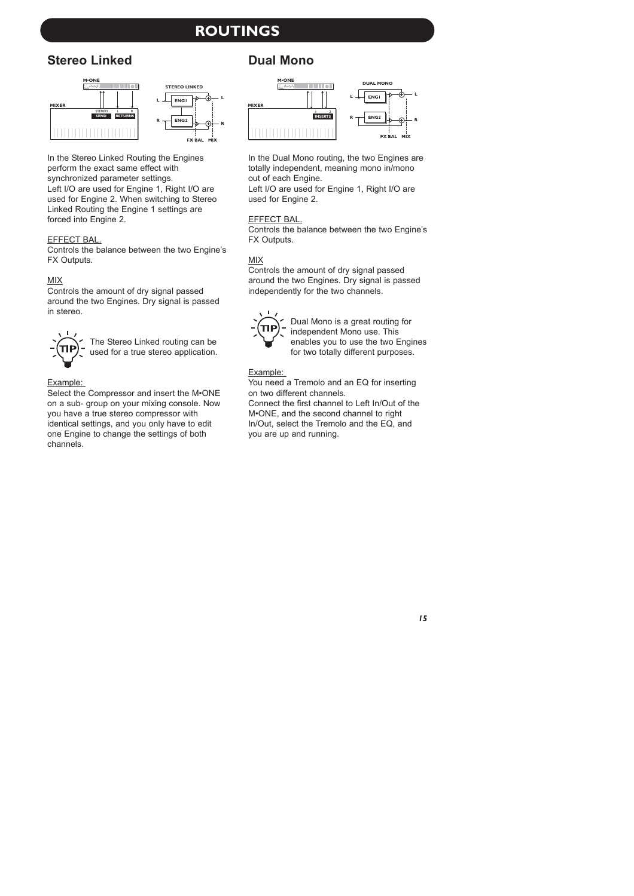# **ROUTINGS**

## **Stereo Linked Dual Mono**



In the Stereo Linked Routing the Engines perform the exact same effect with synchronized parameter settings. Left I/O are used for Engine 1, Right I/O are used for Engine 2. When switching to Stereo Linked Routing the Engine 1 settings are forced into Engine 2.

### EFFECT BAL.

Controls the balance between the two Engine's **FX Outputs.** 

### MIX

Controls the amount of dry signal passed around the two Engines. Dry signal is passed in stereo.



The Stereo Linked routing can be used for a true stereo application.

### Example:

Select the Compressor and insert the M•ONE on a sub- group on your mixing console. Now you have a true stereo compressor with identical settings, and you only have to edit one Engine to change the settings of both channels.



In the Dual Mono routing, the two Engines are totally independent, meaning mono in/mono out of each Engine.

Left I/O are used for Engine 1, Right I/O are used for Engine 2.

### EFFECT BAL.

Controls the balance between the two Engine's FX Outputs.

### MIX

Controls the amount of dry signal passed around the two Engines. Dry signal is passed independently for the two channels.



Dual Mono is a great routing for independent Mono use. This enables you to use the two Engines for two totally different purposes.

### Example:

You need a Tremolo and an EQ for inserting on two different channels.

Connect the first channel to Left In/Out of the M•ONE, and the second channel to right In/Out, select the Tremolo and the EQ, and you are up and running.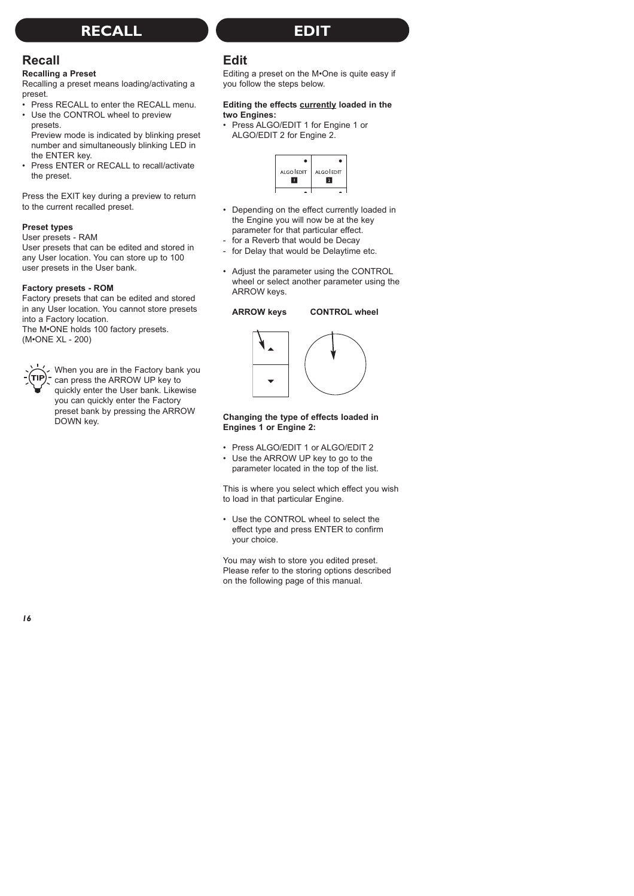# **RECALL EDIT**

### **Recall**

### **Recalling a Preset**

Recalling a preset means loading/activating a preset.

- Press RECALL to enter the RECALL menu
- Use the CONTROL wheel to preview presets.

Preview mode is indicated by blinking preset number and simultaneously blinking LED in the ENTER key.

• Press ENTER or RECALL to recall/activate the preset.

Press the EXIT key during a preview to return to the current recalled preset.

### **Preset types**

User presets - RAM

User presets that can be edited and stored in any User location. You can store up to 100 user presets in the User bank.

### **Factory presets - ROM**

Factory presets that can be edited and stored in any User location. You cannot store presets into a Factory location. The M•ONE holds 100 factory presets

(M•ONE XL - 200)



When you are in the Factory bank you can press the ARROW UP key to quickly enter the User bank. Likewise you can quickly enter the Factory preset bank by pressing the ARROW DOWN key.

# **Edit**

Editing a preset on the M•One is quite easy if you follow the steps below.

### **Editing the effects currently loaded in the two Engines:**

• Press ALGO/EDIT 1 for Engine 1 or ALGO/EDIT 2 for Engine 2.



- Depending on the effect currently loaded in the Engine you will now be at the key parameter for that particular effect.
- for a Reverb that would be Decay
- for Delay that would be Delaytime etc.
- Adjust the parameter using the CONTROL wheel or select another parameter using the ARROW keys.

### **ARROW keys CONTROL wheel**



### **Changing the type of effects loaded in Engines 1 or Engine 2:**

- Press ALGO/EDIT 1 or ALGO/EDIT 2
- Use the ARROW UP key to go to the parameter located in the top of the list.

This is where you select which effect you wish to load in that particular Engine.

• Use the CONTROL wheel to select the effect type and press ENTER to confirm your choice.

You may wish to store you edited preset. Please refer to the storing options described on the following page of this manual.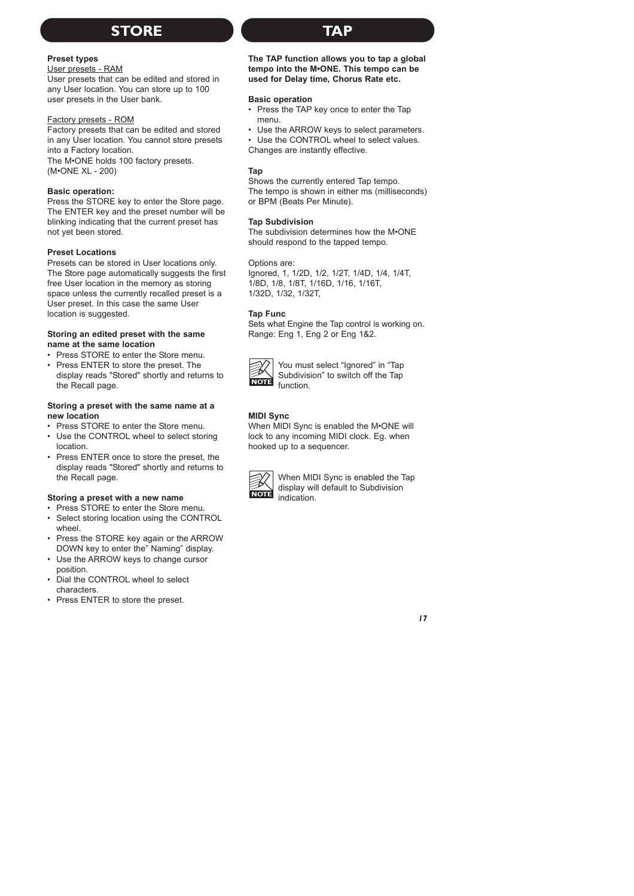# **STORE TAP**

### **Preset types**

#### User presets - RAM

User presets that can be edited and stored in any User location. You can store up to 100 user presets in the User bank.

### Factory presets - ROM

Factory presets that can be edited and stored in any User location. You cannot store presets into a Factory location.

The M•ONE holds 100 factory presets. (M•ONE XL - 200)

### **Basic operation:**

Press the STORE key to enter the Store page. The ENTER key and the preset number will be blinking indicating that the current preset has not yet been stored.

### **Preset Locations**

Presets can be stored in User locations only. The Store page automatically suggests the first free User location in the memory as storing space unless the currently recalled preset is a User preset. In this case the same User location is suggested.

#### **Storing an edited preset with the same name at the same location**

- Press STORE to enter the Store menu.
- Press ENTER to store the preset. The display reads "Stored" shortly and returns to the Recall page.

#### **Storing a preset with the same name at a new location**

- Press STORE to enter the Store menu.
- Use the CONTROL wheel to select storing location.
- Press ENTER once to store the preset, the display reads "Stored" shortly and returns to the Recall page.

### **Storing a preset with a new name**

- Press STORE to enter the Store menu.
- Select storing location using the CONTROL wheel
- Press the STORE key again or the ARROW DOWN key to enter the" Naming" display.
- Use the ARROW keys to change cursor position.
- Dial the CONTROL wheel to select characters.
- Press ENTER to store the preset.

**The TAP function allows you to tap a global tempo into the M•ONE. This tempo can be used for Delay time, Chorus Rate etc.** 

### **Basic operation**

- Press the TAP key once to enter the Tap menu.
- Use the ARROW keys to select parameters.

Use the CONTROL wheel to select values. Changes are instantly effective.

### **Tap**

Shows the currently entered Tap tempo. The tempo is shown in either ms (milliseconds) or BPM (Beats Per Minute).

### **Tap Subdivision**

The subdivision determines how the M•ONE should respond to the tapped tempo.

#### Options are:

Ignored, 1, 1/2D, 1/2, 1/2T, 1/4D, 1/4, 1/4T, 1/8D, 1/8, 1/8T, 1/16D, 1/16, 1/16T, 1/32D, 1/32, 1/32T,

### **Tap Func**

Sets what Engine the Tap control is working on. Range: Eng 1, Eng 2 or Eng 1&2.



You must select "Ignored" in "Tap Subdivision" to switch off the Tap function.

### **MIDI Sync**

When MIDI Sync is enabled the M•ONE will lock to any incoming MIDI clock. Eg. when hooked up to a sequencer.



When MIDI Sync is enabled the Tap display will default to Subdivision indication.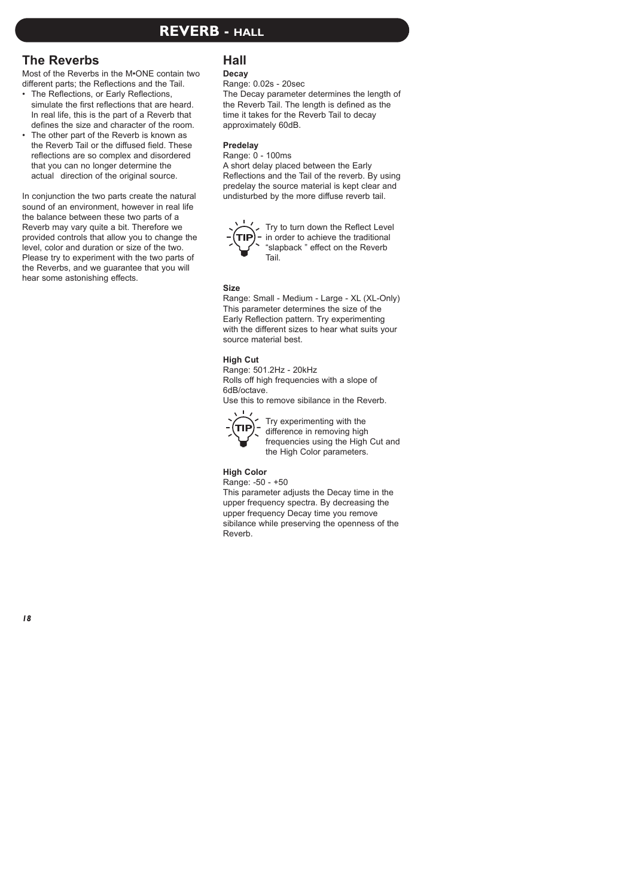## **REVERB - HALL**

### **The Reverbs**

Most of the Reverbs in the M•ONE contain two different parts; the Reflections and the Tail.

- The Reflections, or Early Reflections, simulate the first reflections that are heard. In real life, this is the part of a Reverb that defines the size and character of the room.
- The other part of the Reverb is known as the Reverb Tail or the diffused field. These reflections are so complex and disordered that you can no longer determine the actual direction of the original source.

In conjunction the two parts create the natural sound of an environment, however in real life the balance between these two parts of a Reverb may vary quite a bit. Therefore we provided controls that allow you to change the level, color and duration or size of the two. Please try to experiment with the two parts of the Reverbs, and we guarantee that you will hear some astonishing effects.

### **Hall**

### **Decay**

Range: 0.02s - 20sec

The Decay parameter determines the length of the Reverb Tail. The length is defined as the time it takes for the Reverb Tail to decay approximately 60dB.

### **Predelay**

### Range: 0 - 100ms

A short delay placed between the Early Reflections and the Tail of the reverb. By using predelay the source material is kept clear and undisturbed by the more diffuse reverb tail.



Try to turn down the Reflect Level in order to achieve the traditional "slapback " effect on the Reverb Tail.

### **Size**

Range: Small - Medium - Large - XL (XL-Only) This parameter determines the size of the Early Reflection pattern. Try experimenting with the different sizes to hear what suits your source material best.

### **High Cut**

Range: 501.2Hz - 20kHz Rolls off high frequencies with a slope of 6dB/octave.

Use this to remove sibilance in the Reverb.



Try experimenting with the difference in removing high frequencies using the High Cut and the High Color parameters.

### **High Color**

Range: -50 - +50

This parameter adjusts the Decay time in the upper frequency spectra. By decreasing the upper frequency Decay time you remove sibilance while preserving the openness of the Reverb.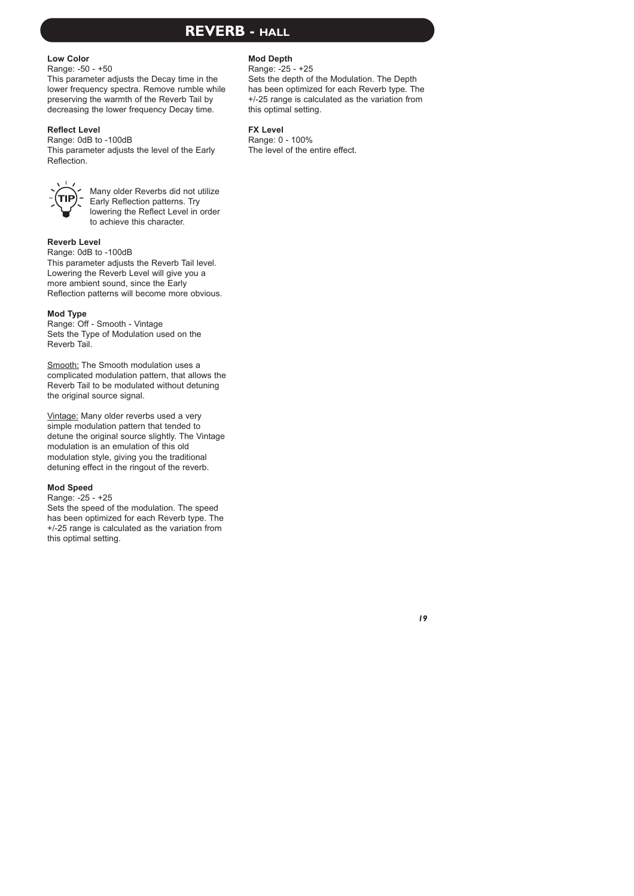# **REVERB - HALL**

### **Low Color**

Range: -50 - +50

This parameter adjusts the Decay time in the lower frequency spectra. Remove rumble while preserving the warmth of the Reverb Tail by decreasing the lower frequency Decay time.

### **Reflect Level**

Range: 0dB to -100dB This parameter adjusts the level of the Early Reflection.



Many older Reverbs did not utilize Early Reflection patterns. Try lowering the Reflect Level in order to achieve this character.

### **Reverb Level**

Range: 0dB to -100dB

This parameter adjusts the Reverb Tail level. Lowering the Reverb Level will give you a more ambient sound, since the Early Reflection patterns will become more obvious.

### **Mod Type**

Range: Off - Smooth - Vintage Sets the Type of Modulation used on the Reverb Tail.

Smooth: The Smooth modulation uses a complicated modulation pattern, that allows the Reverb Tail to be modulated without detuning the original source signal.<br>Vintage: Many older reverbs used a very

simple modulation pattern that tended to detune the original source slightly. The Vintage modulation is an emulation of this old modulation style, giving you the traditional detuning effect in the ringout of the reverb.

#### **Mod Speed**

Range: -25 - +25

Sets the speed of the modulation. The speed has been optimized for each Reverb type. The +/-25 range is calculated as the variation from this optimal setting.

### **Mod Depth**

Range: -25 - +25

Sets the depth of the Modulation. The Depth has been optimized for each Reverb type. The +/-25 range is calculated as the variation from this optimal setting.

#### **FX Level**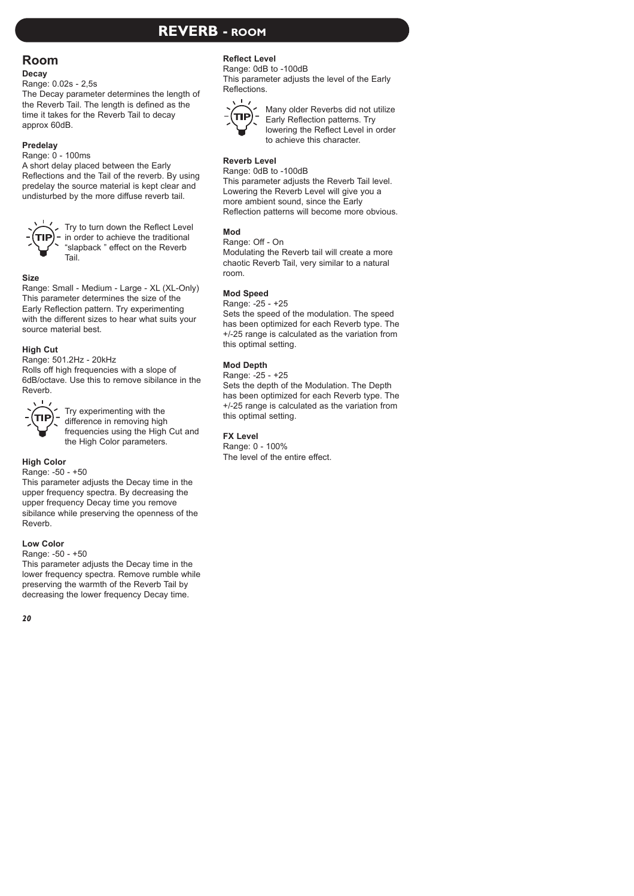# **REVERB - ROOM**

### **Room**

### **Decay**

### Range: 0.02s - 2,5s

The Decay parameter determines the length of the Reverb Tail. The length is defined as the time it takes for the Reverb Tail to decay approx 60dB.

### **Predelay**

#### Range: 0 - 100ms

A short delay placed between the Early Reflections and the Tail of the reverb. By using predelay the source material is kept clear and undisturbed by the more diffuse reverb tail.



Try to turn down the Reflect Level in order to achieve the traditional "slapback " effect on the Reverb Tail.

### **Size**

Range: Small - Medium - Large - XL (XL-Only) This parameter determines the size of the Early Reflection pattern. Try experimenting with the different sizes to hear what suits your source material best.

### **High Cut**

Range: 501.2Hz - 20kHz

Rolls off high frequencies with a slope of 6dB/octave. Use this to remove sibilance in the Reverb.



Try experimenting with the difference in removing high frequencies using the High Cut and the High Color parameters.

### **High Color**

Range: -50 - +50

This parameter adjusts the Decay time in the upper frequency spectra. By decreasing the upper frequency Decay time you remove sibilance while preserving the openness of the Reverb.

### **Low Color**

### Range: -50 - +50

This parameter adjusts the Decay time in the lower frequency spectra. Remove rumble while preserving the warmth of the Reverb Tail by decreasing the lower frequency Decay time.

### **Reflect Level**

Range: 0dB to -100dB This parameter adjusts the level of the Early Reflections.



Many older Reverbs did not utilize Early Reflection patterns. Try lowering the Reflect Level in order to achieve this character.

### **Reverb Level**

Range: 0dB to -100dB

This parameter adjusts the Reverb Tail level. Lowering the Reverb Level will give you a more ambient sound, since the Early Reflection patterns will become more obvious.

### **Mod**

Range: Off - On

Modulating the Reverb tail will create a more chaotic Reverb Tail, very similar to a natural room.

### **Mod Speed**

Range: -25 - +25

Sets the speed of the modulation. The speed has been optimized for each Reverb type. The +/-25 range is calculated as the variation from this optimal setting.

### **Mod Depth**

Range: -25 - +25 Sets the depth of the Modulation. The Depth has been optimized for each Reverb type. The +/-25 range is calculated as the variation from this optimal setting.

### **FX Level**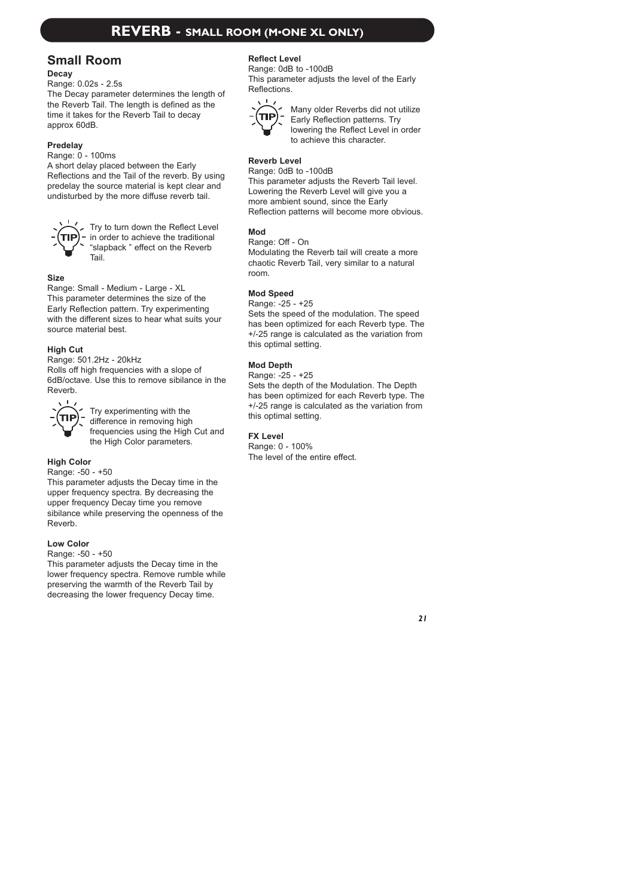### **Small Room**

### **Decay**

Range: 0.02s - 2.5s

The Decay parameter determines the length of the Reverb Tail. The length is defined as the time it takes for the Reverb Tail to decay approx 60dB.

### **Predelay**

Range: 0 - 100ms

A short delay placed between the Early Reflections and the Tail of the reverb. By using predelay the source material is kept clear and undisturbed by the more diffuse reverb tail.



Try to turn down the Reflect Level in order to achieve the traditional "slapback " effect on the Reverb Tail.

### **Size**

Range: Small - Medium - Large - XL This parameter determines the size of the Early Reflection pattern. Try experimenting with the different sizes to hear what suits your source material best.

### **High Cut**

Range: 501.2Hz - 20kHz Rolls off high frequencies with a slope of 6dB/octave. Use this to remove sibilance in the Reverb.



Try experimenting with the difference in removing high frequencies using the High Cut and the High Color parameters.

### **High Color**

Range: -50 - +50

This parameter adjusts the Decay time in the upper frequency spectra. By decreasing the upper frequency Decay time you remove sibilance while preserving the openness of the Reverb.

### **Low Color**

Range: -50 - +50

This parameter adjusts the Decay time in the lower frequency spectra. Remove rumble while preserving the warmth of the Reverb Tail by decreasing the lower frequency Decay time.

### **Reflect Level**

Range: 0dB to -100dB This parameter adjusts the level of the Early Reflections.



Many older Reverbs did not utilize Early Reflection patterns. Try lowering the Reflect Level in order to achieve this character.

### **Reverb Level**

Range: 0dB to -100dB

This parameter adjusts the Reverb Tail level. Lowering the Reverb Level will give you a more ambient sound, since the Early Reflection patterns will become more obvious.

### **Mod**

Range: Off - On Modulating the Reverb tail will create a more chaotic Reverb Tail, very similar to a natural room.

### **Mod Speed**

Range: -25 - +25

Sets the speed of the modulation. The speed has been optimized for each Reverb type. The +/-25 range is calculated as the variation from this optimal setting.

### **Mod Depth**

Range: -25 - +25 Sets the depth of the Modulation. The Depth has been optimized for each Reverb type. The +/-25 range is calculated as the variation from this optimal setting.

### **FX Level**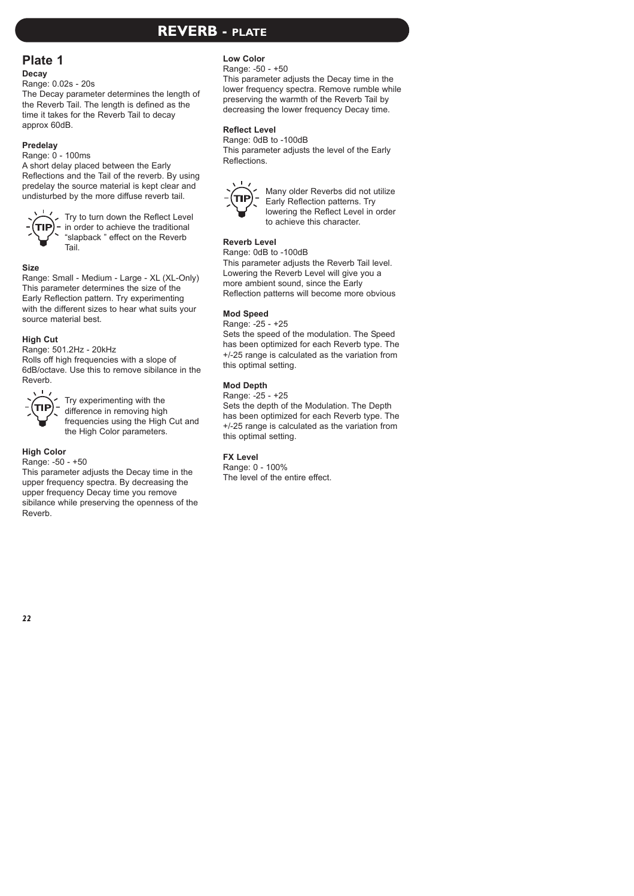### **REVERB - PLATE**

### **Plate 1**

### **Decay**

Range: 0.02s - 20s

The Decay parameter determines the length of the Reverb Tail. The length is defined as the time it takes for the Reverb Tail to decay approx 60dB.

### **Predelay**

Range: 0 - 100ms

A short delay placed between the Early Reflections and the Tail of the reverb. By using predelay the source material is kept clear and undisturbed by the more diffuse reverb tail.



Try to turn down the Reflect Level in order to achieve the traditional "slapback " effect on the Reverb Tail.

### **Size**

Range: Small - Medium - Large - XL (XL-Only) This parameter determines the size of the Early Reflection pattern. Try experimenting with the different sizes to hear what suits your source material best.

### **High Cut**

Range: 501.2Hz - 20kHz

Rolls off high frequencies with a slope of 6dB/octave. Use this to remove sibilance in the Reverb.



Try experimenting with the difference in removing high frequencies using the High Cut and the High Color parameters.

### **High Color**

#### Range: -50 - +50

This parameter adjusts the Decay time in the upper frequency spectra. By decreasing the upper frequency Decay time you remove sibilance while preserving the openness of the Reverb.

### **Low Color**

Range: -50 - +50

This parameter adjusts the Decay time in the lower frequency spectra. Remove rumble while preserving the warmth of the Reverb Tail by decreasing the lower frequency Decay time.

### **Reflect Level**

Range: 0dB to -100dB This parameter adjusts the level of the Early Reflections.



Many older Reverbs did not utilize Early Reflection patterns. Try lowering the Reflect Level in order to achieve this character.

### **Reverb Level**

Range: 0dB to -100dB

This parameter adjusts the Reverb Tail level. Lowering the Reverb Level will give you a more ambient sound, since the Early Reflection patterns will become more obvious

### **Mod Speed**

Range: -25 - +25

Sets the speed of the modulation. The Speed has been optimized for each Reverb type. The +/-25 range is calculated as the variation from this optimal setting.

### **Mod Depth**

Range: -25 - +25

Sets the depth of the Modulation. The Depth has been optimized for each Reverb type. The +/-25 range is calculated as the variation from this optimal setting.

### **FX Level**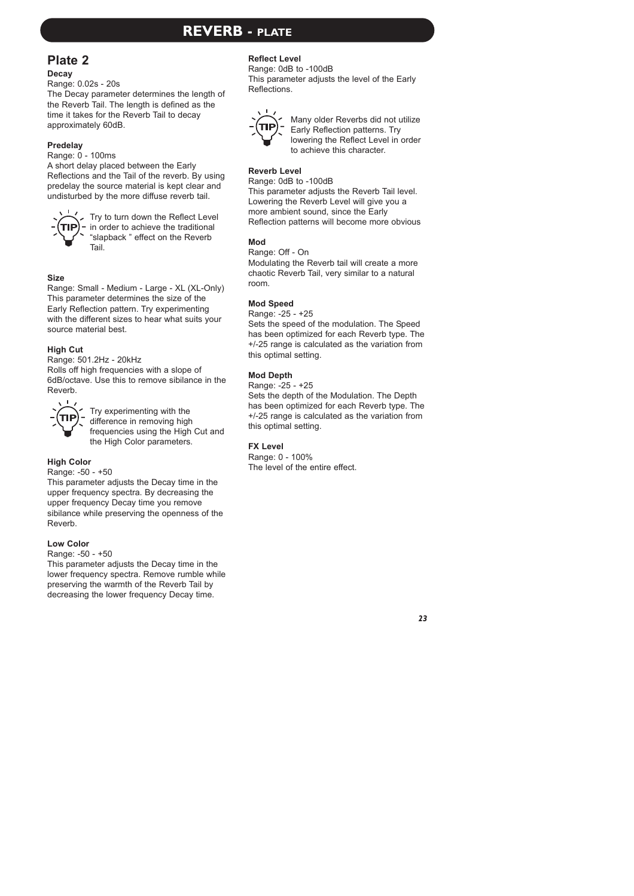# **REVERB - PLATE**

### **Plate 2**

### **Decay**

Range: 0.02s - 20s

The Decay parameter determines the length of the Reverb Tail. The length is defined as the time it takes for the Reverb Tail to decay approximately 60dB.

### **Predelay**

Range: 0 - 100ms

A short delay placed between the Early Reflections and the Tail of the reverb. By using predelay the source material is kept clear and undisturbed by the more diffuse reverb tail.



Try to turn down the Reflect Level in order to achieve the traditional "slapback " effect on the Reverb Tail.

### **Size**

Range: Small - Medium - Large - XL (XL-Only) This parameter determines the size of the Early Reflection pattern. Try experimenting with the different sizes to hear what suits your source material best.

### **High Cut**

Range: 501.2Hz - 20kHz Rolls off high frequencies with a slope of 6dB/octave. Use this to remove sibilance in the Reverb.



Try experimenting with the difference in removing high frequencies using the High Cut and the High Color parameters.

### **High Color**

Range: -50 - +50

This parameter adjusts the Decay time in the upper frequency spectra. By decreasing the upper frequency Decay time you remove sibilance while preserving the openness of the Reverb.

### **Low Color**

Range: -50 - +50

This parameter adjusts the Decay time in the lower frequency spectra. Remove rumble while preserving the warmth of the Reverb Tail by decreasing the lower frequency Decay time.

### **Reflect Level**

Range: 0dB to -100dB This parameter adjusts the level of the Early Reflections.



Many older Reverbs did not utilize Early Reflection patterns. Try lowering the Reflect Level in order to achieve this character.

### **Reverb Level**

Range: 0dB to -100dB

This parameter adjusts the Reverb Tail level. Lowering the Reverb Level will give you a more ambient sound, since the Early Reflection patterns will become more obvious

### **Mod**

Range: Off - On Modulating the Reverb tail will create a more chaotic Reverb Tail, very similar to a natural room.

### **Mod Speed**

Range: -25 - +25

Sets the speed of the modulation. The Speed has been optimized for each Reverb type. The +/-25 range is calculated as the variation from this optimal setting.

### **Mod Depth**

Range: -25 - +25

Sets the depth of the Modulation. The Depth has been optimized for each Reverb type. The +/-25 range is calculated as the variation from this optimal setting.

### **FX Level**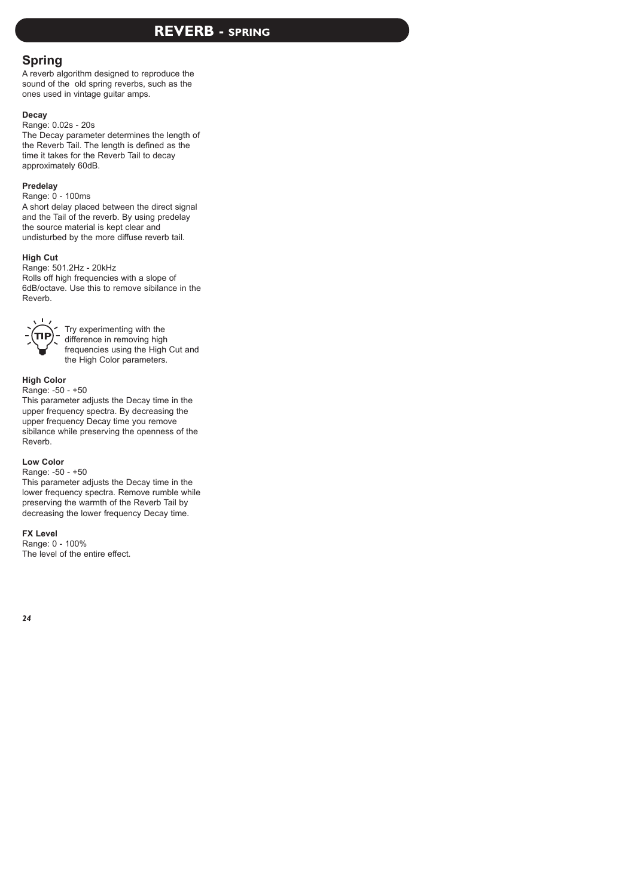# **REVERB - SPRING**

### **Spring**

A reverb algorithm designed to reproduce the sound of the old spring reverbs, such as the ones used in vintage guitar amps.

### **Decay**

Range: 0.02s - 20s

The Decay parameter determines the length of the Reverb Tail. The length is defined as the time it takes for the Reverb Tail to decay approximately 60dB.

### **Predelay**

Range: 0 - 100ms

A short delay placed between the direct signal and the Tail of the reverb. By using predelay the source material is kept clear and undisturbed by the more diffuse reverb tail.

### **High Cut**

Range: 501.2Hz - 20kHz Rolls off high frequencies with a slope of 6dB/octave. Use this to remove sibilance in the Reverb.



Try experimenting with the difference in removing high frequencies using the High Cut and the High Color parameters.

### **High Color**

Range: -50 - +50

This parameter adjusts the Decay time in the upper frequency spectra. By decreasing the upper frequency Decay time you remove sibilance while preserving the openness of the Reverb.

### **Low Color**

Range: -50 - +50

This parameter adjusts the Decay time in the lower frequency spectra. Remove rumble while preserving the warmth of the Reverb Tail by decreasing the lower frequency Decay time.

### **FX Level**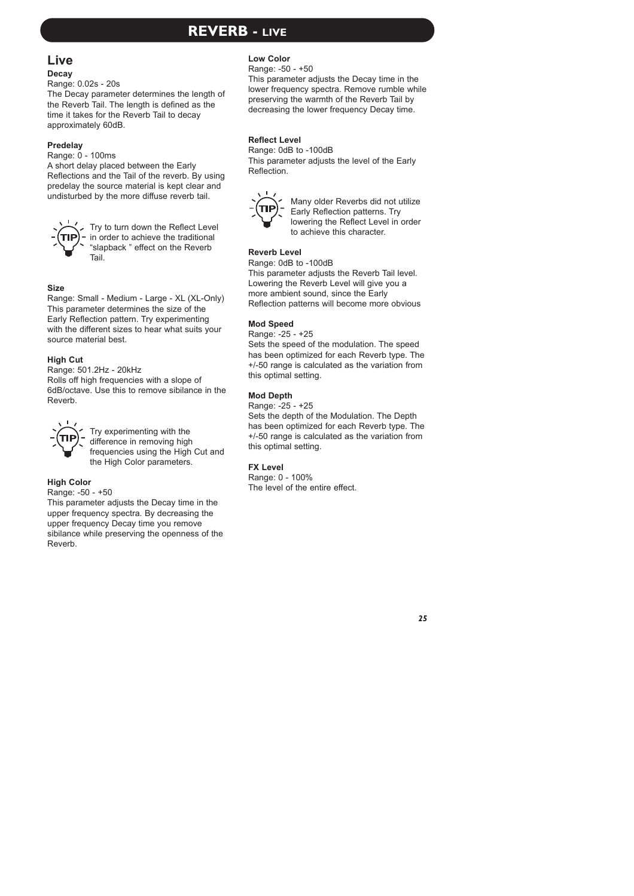# **REVERB - LIVE**

# **Live**

### **Decay**

Range: 0.02s - 20s

The Decay parameter determines the length of the Reverb Tail. The length is defined as the time it takes for the Reverb Tail to decay approximately 60dB.

### **Predelay**

Range: 0 - 100ms

A short delay placed between the Early Reflections and the Tail of the reverb. By using predelay the source material is kept clear and undisturbed by the more diffuse reverb tail.



Try to turn down the Reflect Level in order to achieve the traditional "slapback " effect on the Reverb Tail.

### **Size**

Range: Small - Medium - Large - XL (XL-Only) This parameter determines the size of the Early Reflection pattern. Try experimenting with the different sizes to hear what suits your source material best.

### **High Cut**

Range: 501.2Hz - 20kHz Rolls off high frequencies with a slope of 6dB/octave. Use this to remove sibilance in the Reverb.



Try experimenting with the difference in removing high frequencies using the High Cut and the High Color parameters.

### **High Color**

Range: -50 - +50

This parameter adjusts the Decay time in the upper frequency spectra. By decreasing the upper frequency Decay time you remove sibilance while preserving the openness of the Reverb.

### **Low Color**

Range: -50 - +50

This parameter adjusts the Decay time in the lower frequency spectra. Remove rumble while preserving the warmth of the Reverb Tail by decreasing the lower frequency Decay time.

### **Reflect Level**

Range: 0dB to -100dB This parameter adjusts the level of the Early Reflection.



Many older Reverbs did not utilize Early Reflection patterns. Try lowering the Reflect Level in order to achieve this character.

### **Reverb Level**

Range: 0dB to -100dB This parameter adjusts the Reverb Tail level. Lowering the Reverb Level will give you a more ambient sound, since the Early Reflection patterns will become more obvious

### **Mod Speed**

Range: -25 - +25

Sets the speed of the modulation. The speed has been optimized for each Reverb type. The +/-50 range is calculated as the variation from this optimal setting.

### **Mod Depth**

Range: -25 - +25

Sets the depth of the Modulation. The Depth has been optimized for each Reverb type. The +/-50 range is calculated as the variation from this optimal setting.

### **FX Level**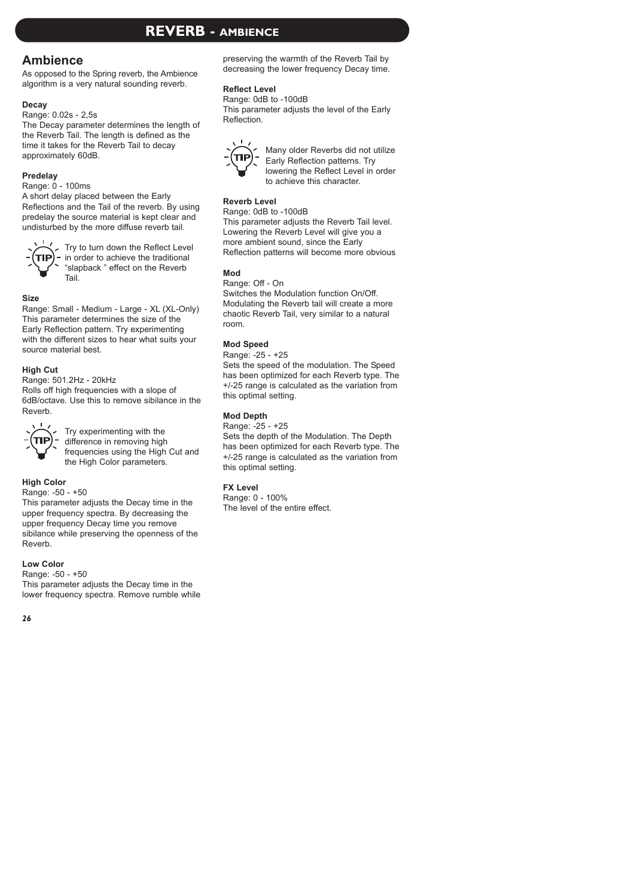### **Ambience**

As opposed to the Spring reverb, the Ambience algorithm is a very natural sounding reverb.

### **Decay**

Range: 0.02s - 2,5s

The Decay parameter determines the length of the Reverb Tail. The length is defined as the time it takes for the Reverb Tail to decay approximately 60dB.

### **Predelay**

Range: 0 - 100ms

A short delay placed between the Early Reflections and the Tail of the reverb. By using predelay the source material is kept clear and undisturbed by the more diffuse reverb tail.



Try to turn down the Reflect Level in order to achieve the traditional "slapback " effect on the Reverb Tail.

### **Size**

Range: Small - Medium - Large - XL (XL-Only) This parameter determines the size of the Early Reflection pattern. Try experimenting with the different sizes to hear what suits your source material best.

### **High Cut**

Range: 501.2Hz - 20kHz

Rolls off high frequencies with a slope of 6dB/octave. Use this to remove sibilance in the Reverb.



Try experimenting with the difference in removing high frequencies using the High Cut and the High Color parameters.

### **High Color**

Range: -50 - +50

This parameter adjusts the Decay time in the upper frequency spectra. By decreasing the upper frequency Decay time you remove sibilance while preserving the openness of the Reverb.

### **Low Color**

Range: -50 - +50 This parameter adjusts the Decay time in the lower frequency spectra. Remove rumble while preserving the warmth of the Reverb Tail by decreasing the lower frequency Decay time.

### **Reflect Level**

Range: 0dB to -100dB This parameter adjusts the level of the Early Reflection.



Many older Reverbs did not utilize Early Reflection patterns. Try lowering the Reflect Level in order to achieve this character.

### **Reverb Level**

Range: 0dB to -100dB This parameter adjusts the Reverb Tail level. Lowering the Reverb Level will give you a

more ambient sound, since the Early Reflection patterns will become more obvious

### **Mod**

Range: Off - On

Switches the Modulation function On/Off. Modulating the Reverb tail will create a more chaotic Reverb Tail, very similar to a natural room.

### **Mod Speed**

Range: -25 - +25

Sets the speed of the modulation. The Speed has been optimized for each Reverb type. The +/-25 range is calculated as the variation from this optimal setting.

### **Mod Depth**

Range: -25 - +25

Sets the depth of the Modulation. The Depth has been optimized for each Reverb type. The +/-25 range is calculated as the variation from this optimal setting.

### **FX Level**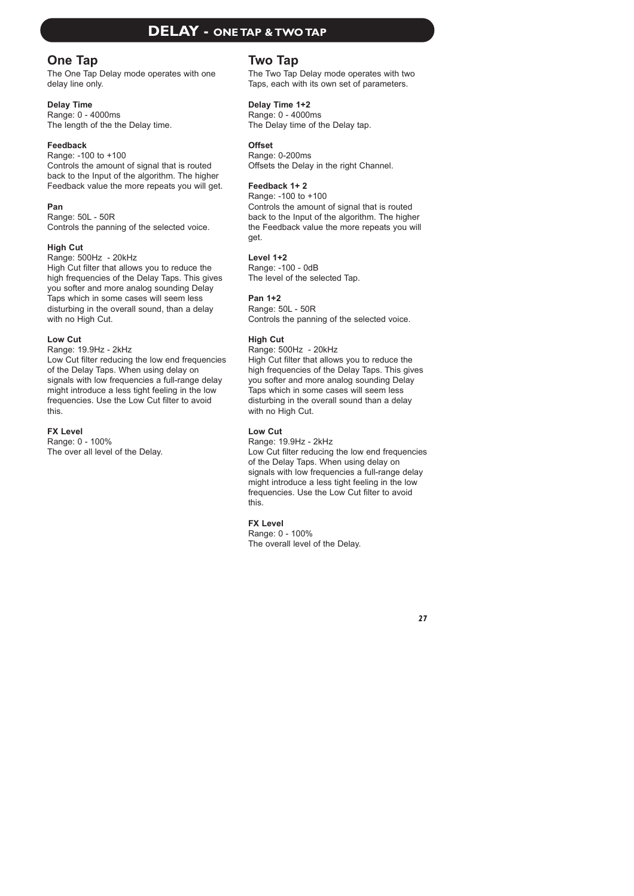## **DELAY - ONE TAP & TWO TAP**

### **One Tap**

The One Tap Delay mode operates with one delay line only.

### **Delay Time**

Range: 0 - 4000ms The length of the the Delay time.

### **Feedback**

Range: -100 to +100 Controls the amount of signal that is routed back to the Input of the algorithm. The higher Feedback value the more repeats you will get.

### **Pan**

Range: 50L - 50R Controls the panning of the selected voice.

### **High Cut**

Range: 500Hz - 20kHz High Cut filter that allows you to reduce the high frequencies of the Delay Taps. This gives you softer and more analog sounding Delay Taps which in some cases will seem less disturbing in the overall sound, than a delay with no High Cut.

### **Low Cut**

Range: 19.9Hz - 2kHz

Low Cut filter reducing the low end frequencies of the Delay Taps. When using delay on signals with low frequencies a full-range delay might introduce a less tight feeling in the low frequencies. Use the Low Cut filter to avoid this.

### **FX Level**

Range: 0 - 100% The over all level of the Delay.

### **Two Tap**

The Two Tap Delay mode operates with two Taps, each with its own set of parameters.

### **Delay Time 1+2**

Range: 0 - 4000ms The Delay time of the Delay tap.

### **Offset**

Range: 0-200ms Offsets the Delay in the right Channel.

### **Feedback 1+ 2**

Range: -100 to +100 Controls the amount of signal that is routed back to the Input of the algorithm. The higher the Feedback value the more repeats you will get.

### **Level 1+2**

Range: -100 - 0dB The level of the selected Tap.

### **Pan 1+2**

Range: 50L - 50R Controls the panning of the selected voice.

### **High Cut**

Range: 500Hz - 20kHz

High Cut filter that allows you to reduce the high frequencies of the Delay Taps. This gives you softer and more analog sounding Delay Taps which in some cases will seem less disturbing in the overall sound than a delay with no High Cut.

### **Low Cut**

Range: 19.9Hz - 2kHz

Low Cut filter reducing the low end frequencies of the Delay Taps. When using delay on signals with low frequencies a full-range delay might introduce a less tight feeling in the low frequencies. Use the Low Cut filter to avoid this.

### **FX Level**

Range: 0 - 100% The overall level of the Delay.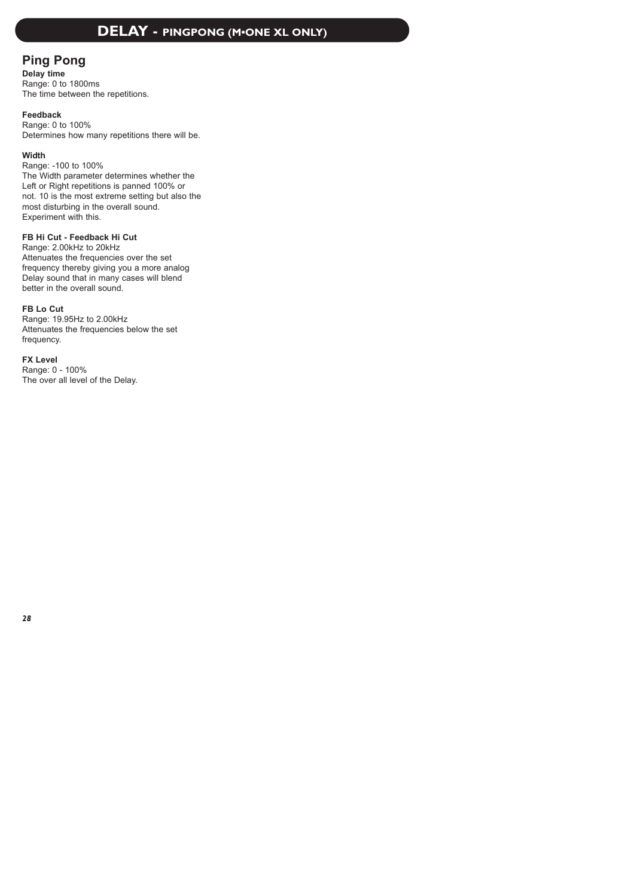### **DELAY - PINGPONG (M•ONE XL ONLY)**

### **Ping Pong**

**Delay time** Range: 0 to 1800ms The time between the repetitions.

### **Feedback**

Range: 0 to 100% Determines how many repetitions there will be.

### **Width**

Range: -100 to 100% The Width parameter determines whether the Left or Right repetitions is panned 100% or not. 10 is the most extreme setting but also the most disturbing in the overall sound. Experiment with this.

### **FB Hi Cut - Feedback Hi Cut**

Range: 2.00kHz to 20kHz Attenuates the frequencies over the set frequency thereby giving you a more analog Delay sound that in many cases will blend better in the overall sound.

### **FB Lo Cut**

Range: 19.95Hz to 2.00kHz Attenuates the frequencies below the set frequency.

### **FX Level**

Range: 0 - 100% The over all level of the Delay.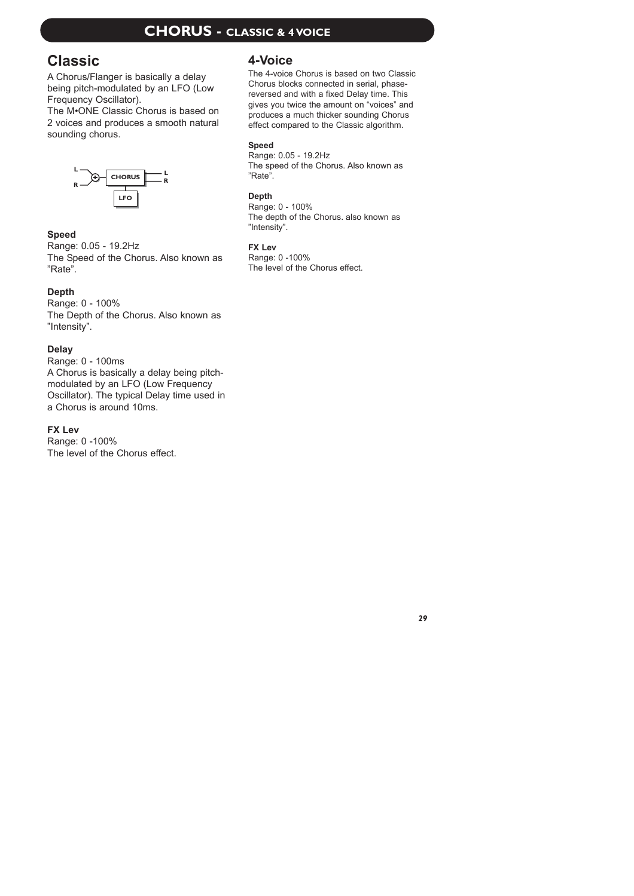# **CHORUS - CLASSIC & 4 VOICE**

# **Classic**

A Chorus/Flanger is basically a delay being pitch-modulated by an LFO (Low Frequency Oscillator).

The M•ONE Classic Chorus is based on 2 voices and produces a smooth natural sounding chorus.



### **Speed**

Range: 0.05 - 19.2Hz The Speed of the Chorus. Also known as "Rate".

### **Depth**

Range: 0 - 100% The Depth of the Chorus. Also known as "Intensity".

### **Delay**

Range: 0 - 100ms A Chorus is basically a delay being pitchmodulated by an LFO (Low Frequency Oscillator). The typical Delay time used in a Chorus is around 10ms.

### **FX Lev**

Range: 0 -100% The level of the Chorus effect.

### **4-Voice**

The 4-voice Chorus is based on two Classic Chorus blocks connected in serial, phasereversed and with a fixed Delay time. This gives you twice the amount on "voices" and produces a much thicker sounding Chorus effect compared to the Classic algorithm.

### **Speed**

Range: 0.05 - 19.2Hz The speed of the Chorus. Also known as "Rate".

### **Depth**

Range: 0 - 100% The depth of the Chorus. also known as "Intensity".

### **FX Lev**

Range: 0 -100% The level of the Chorus effect.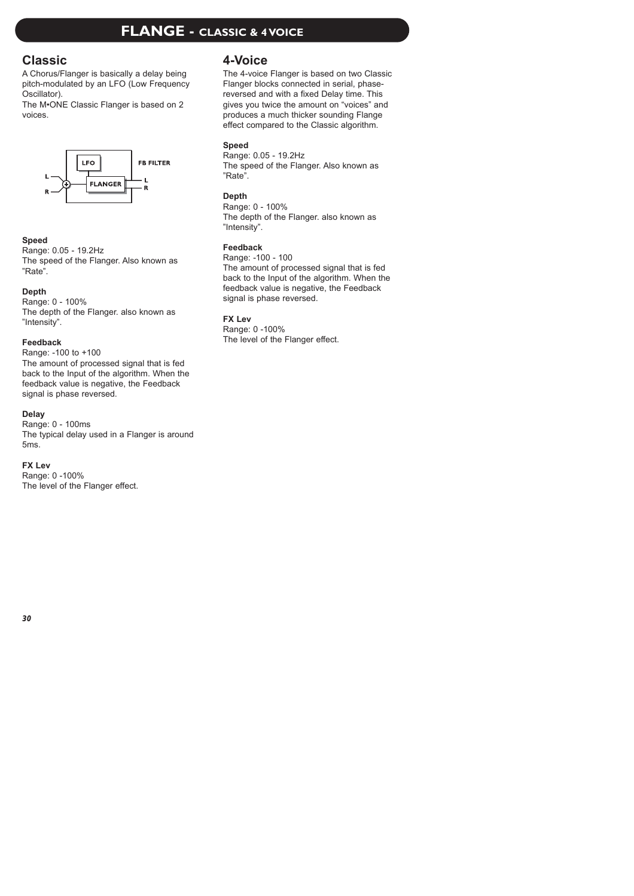# **FLANGE - CLASSIC & 4 VOICE**

### **Classic**

A Chorus/Flanger is basically a delay being pitch-modulated by an LFO (Low Frequency Oscillator).

The M•ONE Classic Flanger is based on 2 voices.



### **Speed**

Range: 0.05 - 19.2Hz The speed of the Flanger. Also known as "Rate".

### **Depth**

Range: 0 - 100% The depth of the Flanger. also known as "Intensity".

### **Feedback**

Range: -100 to +100

The amount of processed signal that is fed back to the Input of the algorithm. When the feedback value is negative, the Feedback signal is phase reversed.

### **Delay**

Range: 0 - 100ms The typical delay used in a Flanger is around 5ms.

### **FX Lev**

Range: 0 -100% The level of the Flanger effect.

### **4-Voice**

The 4-voice Flanger is based on two Classic Flanger blocks connected in serial, phasereversed and with a fixed Delay time. This gives you twice the amount on "voices" and produces a much thicker sounding Flange effect compared to the Classic algorithm.

### **Speed**

Range: 0.05 - 19.2Hz The speed of the Flanger. Also known as "Rate".

### **Depth**

Range: 0 - 100% The depth of the Flanger. also known as "Intensity".

### **Feedback**

Range: -100 - 100 The amount of processed signal that is fed back to the Input of the algorithm. When the feedback value is negative, the Feedback signal is phase reversed.

### **FX Lev**

Range: 0 -100% The level of the Flanger effect.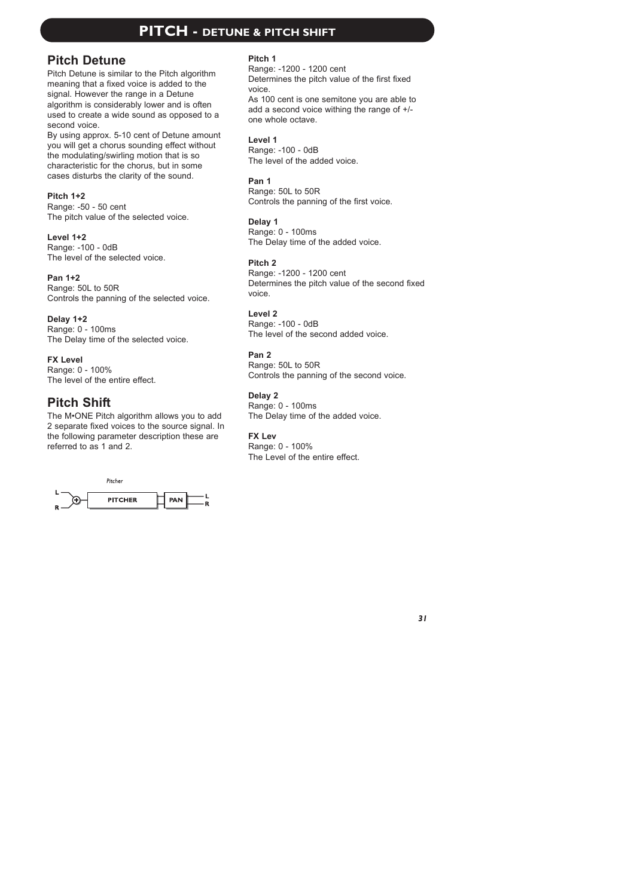### **PITCH - DETUNE & PITCH SHIFT**

### **Pitch Detune**

Pitch Detune is similar to the Pitch algorithm meaning that a fixed voice is added to the signal. However the range in a Detune algorithm is considerably lower and is often used to create a wide sound as opposed to a second voice.

By using approx. 5-10 cent of Detune amount you will get a chorus sounding effect without the modulating/swirling motion that is so characteristic for the chorus, but in some cases disturbs the clarity of the sound.

### **Pitch 1+2**

Range: -50 - 50 cent The pitch value of the selected voice.

**Level 1+2** Range: -100 - 0dB The level of the selected voice.

**Pan 1+2**

Range: 50L to 50R Controls the panning of the selected voice.

**Delay 1+2** Range: 0 - 100ms The Delay time of the selected voice.

**FX Level**  Range: 0 - 100% The level of the entire effect.

# **Pitch Shift**

The M•ONE Pitch algorithm allows you to add 2 separate fixed voices to the source signal. In the following parameter description these are referred to as 1 and 2.



### **Pitch 1**

Range: -1200 - 1200 cent Determines the pitch value of the first fixed voice.

As 100 cent is one semitone you are able to add a second voice withing the range of +/ one whole octave.

### **Level 1**

Range: -100 - 0dB The level of the added voice.

**Pan 1**

Range: 50L to 50R Controls the panning of the first voice.

**Delay 1** Range: 0 - 100ms The Delay time of the added voice.

### **Pitch 2**

Range: -1200 - 1200 cent Determines the pitch value of the second fixed voice.

**Level 2**

Range: -100 - 0dB The level of the second added voice.

### **Pan 2**

Range: 50L to 50R Controls the panning of the second voice.

**Delay 2**

Range: 0 - 100ms The Delay time of the added voice.

### **FX Lev**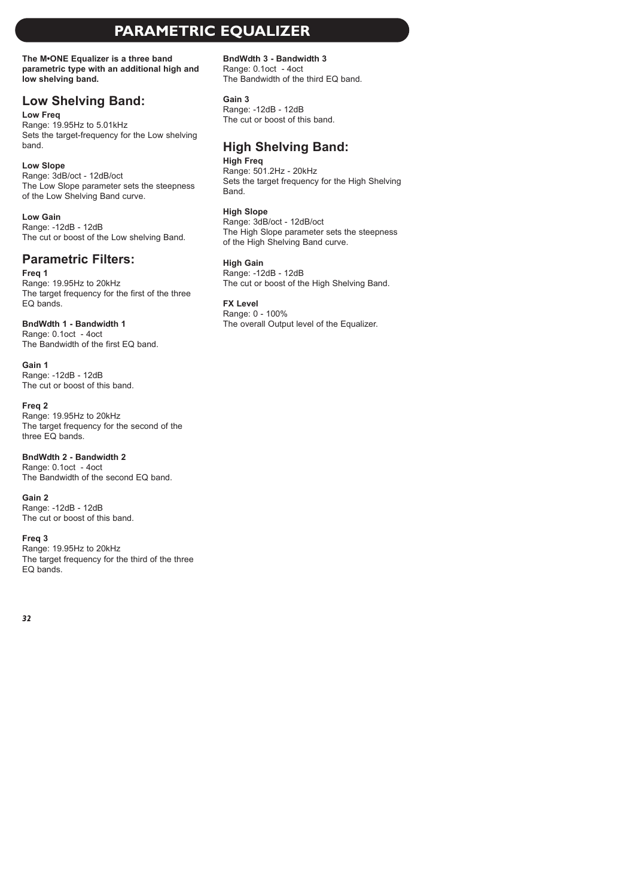# **PARAMETRIC EQUALIZER**

**The M•ONE Equalizer is a three band parametric type with an additional high and low shelving band.**

### **Low Shelving Band:**

### **Low Freq**

Range: 19.95Hz to 5.01kHz Sets the target-frequency for the Low shelving band.

### **Low Slope**

Range: 3dB/oct - 12dB/oct The Low Slope parameter sets the steepness of the Low Shelving Band curve.

### **Low Gain**

Range: -12dB - 12dB The cut or boost of the Low shelving Band.

# **Parametric Filters:**

### **Freq 1**

Range: 19.95Hz to 20kHz The target frequency for the first of the three  $F \cap$  hands.

### **BndWdth 1 - Bandwidth 1**

Range: 0.1oct - 4oct The Bandwidth of the first EQ band.

**Gain 1**

Range: -12dB - 12dB The cut or boost of this band.

### **Freq 2**

Range: 19.95Hz to 20kHz The target frequency for the second of the three EQ bands.

**BndWdth 2 - Bandwidth 2** Range: 0.1oct - 4oct The Bandwidth of the second EQ band.

**Gain 2**

Range: -12dB - 12dB The cut or boost of this band.

**Freq 3** 

Range: 19.95Hz to 20kHz The target frequency for the third of the three  $F \cap$  hands.

**BndWdth 3 - Bandwidth 3**

Range: 0.1oct - 4oct The Bandwidth of the third EQ band.

### **Gain 3**

Range: -12dB - 12dB The cut or boost of this band.

# **High Shelving Band:**

**High Freq** Range: 501.2Hz - 20kHz Sets the target frequency for the High Shelving Band.

### **High Slope**

Range: 3dB/oct - 12dB/oct The High Slope parameter sets the steepness of the High Shelving Band curve.

### **High Gain**

Range: -12dB - 12dB The cut or boost of the High Shelving Band.

### **FX Level**

Range: 0 - 100% The overall Output level of the Equalizer.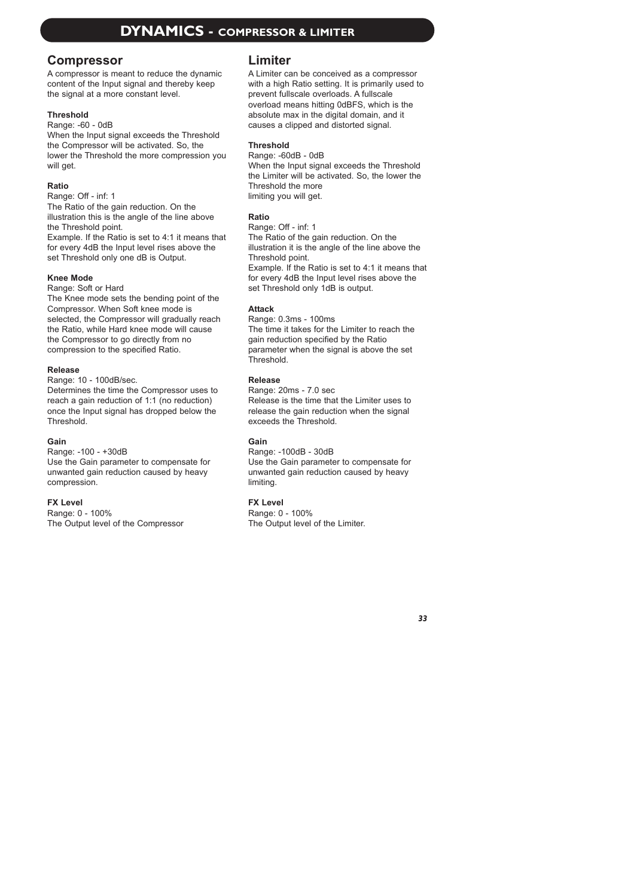### **Compressor**

A compressor is meant to reduce the dynamic content of the Input signal and thereby keep the signal at a more constant level.

### **Threshold**

Range: -60 - 0dB

When the Input signal exceeds the Threshold the Compressor will be activated. So, the lower the Threshold the more compression you will get.

### **Ratio**

Range: Off - inf: 1

The Ratio of the gain reduction. On the illustration this is the angle of the line above the Threshold point.

Example. If the Ratio is set to 4:1 it means that for every 4dB the Input level rises above the set Threshold only one dB is Output.

### **Knee Mode**

Range: Soft or Hard

The Knee mode sets the bending point of the Compressor. When Soft knee mode is selected, the Compressor will gradually reach the Ratio, while Hard knee mode will cause the Compressor to go directly from no compression to the specified Ratio.

### **Release**

Range: 10 - 100dB/sec.

Determines the time the Compressor uses to reach a gain reduction of 1:1 (no reduction) once the Input signal has dropped below the **Threshold** 

### **Gain**

Range: -100 - +30dB Use the Gain parameter to compensate for unwanted gain reduction caused by heavy compression.

### **FX Level**

Range: 0 - 100% The Output level of the Compressor

### **Limiter**

A Limiter can be conceived as a compressor with a high Ratio setting. It is primarily used to prevent fullscale overloads. A fullscale overload means hitting 0dBFS, which is the absolute max in the digital domain, and it causes a clipped and distorted signal.

### **Threshold**

Range: -60dB - 0dB When the Input signal exceeds the Threshold the Limiter will be activated. So, the lower the Threshold the more limiting you will get.

### **Ratio**

Range: Off - inf: 1

The Ratio of the gain reduction. On the illustration it is the angle of the line above the Threshold point.

Example. If the Ratio is set to 4:1 it means that for every 4dB the Input level rises above the set Threshold only 1dB is output.

### **Attack**

Range: 0.3ms - 100ms The time it takes for the Limiter to reach the gain reduction specified by the Ratio parameter when the signal is above the set **Threshold** 

### **Release**

Range: 20ms - 7.0 sec Release is the time that the Limiter uses to release the gain reduction when the signal exceeds the Threshold.

### **Gain**

Range: -100dB - 30dB Use the Gain parameter to compensate for unwanted gain reduction caused by heavy limiting.

### **FX Level**

Range: 0 - 100% The Output level of the Limiter.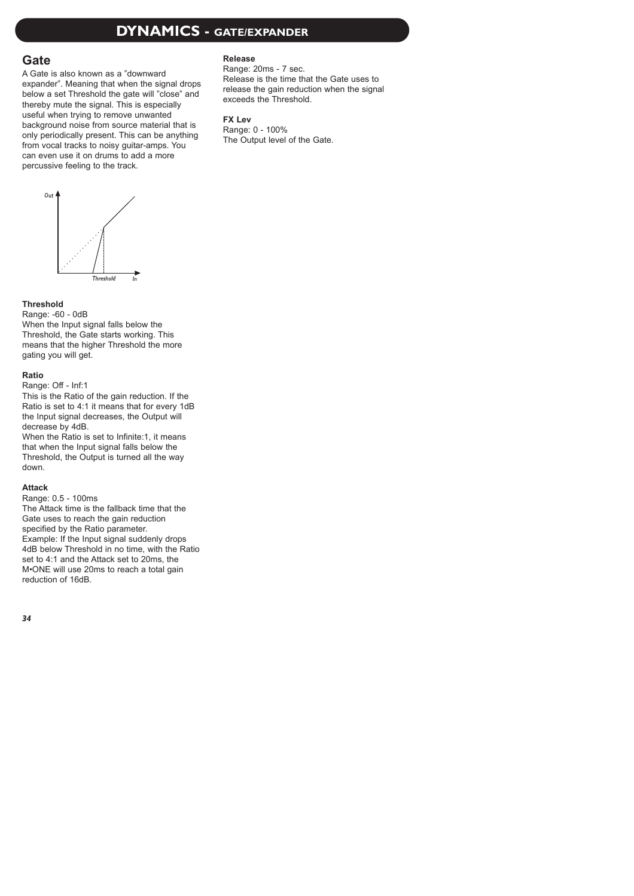# **DYNAMICS - GATE/EXPANDER**

### **Gate**

A Gate is also known as a "downward expander". Meaning that when the signal drops below a set Threshold the gate will "close" and thereby mute the signal. This is especially useful when trying to remove unwanted background noise from source material that is only periodically present. This can be anything from vocal tracks to noisy guitar-amps. You can even use it on drums to add a more percussive feeling to the track.



Range: 20ms - 7 sec. Release is the time that the Gate uses to release the gain reduction when the signal exceeds the Threshold.

### **FX Lev**

Range: 0 - 100% The Output level of the Gate.



### **Threshold**

Range: -60 - 0dB When the Input signal falls below the Threshold, the Gate starts working. This means that the higher Threshold the more gating you will get.

### **Ratio**

Range: Off - Inf:1

This is the Ratio of the gain reduction. If the Ratio is set to 4:1 it means that for every 1dB the Input signal decreases, the Output will decrease by 4dB.

When the Ratio is set to Infinite: 1, it means that when the Input signal falls below the Threshold, the Output is turned all the way down.

### **Attack**

Range: 0.5 - 100ms

The Attack time is the fallback time that the Gate uses to reach the gain reduction specified by the Ratio parameter. Example: If the Input signal suddenly drops 4dB below Threshold in no time, with the Ratio set to 4:1 and the Attack set to 20ms, the M•ONE will use 20ms to reach a total gain reduction of 16dB.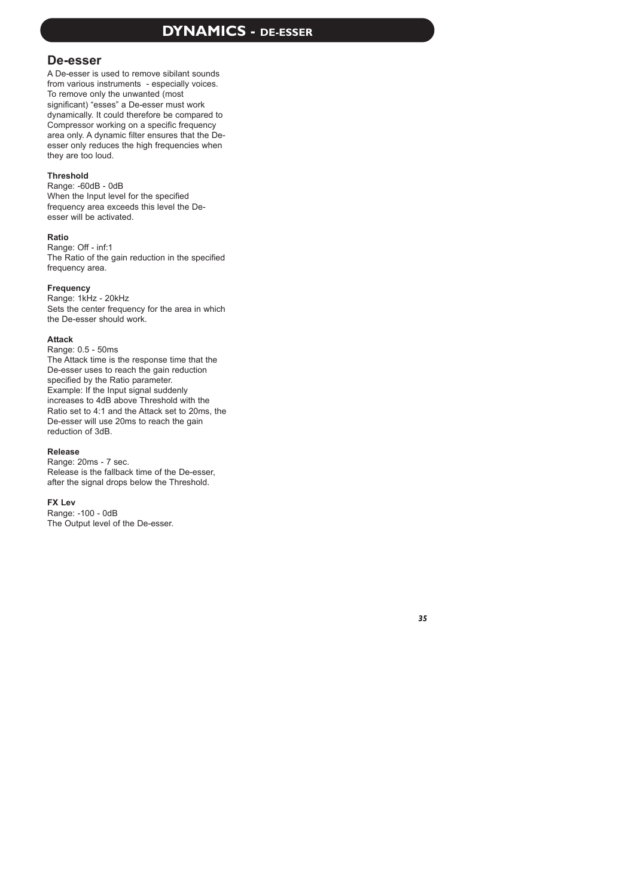# **DYNAMICS - DE-ESSER**

### **De-esser**

A De-esser is used to remove sibilant sounds from various instruments - especially voices. To remove only the unwanted (most significant) "esses" a De-esser must work dynamically. It could therefore be compared to Compressor working on a specific frequency area only. A dynamic filter ensures that the Deesser only reduces the high frequencies when they are too loud.

### **Threshold**

Range: -60dB - 0dB When the Input level for the specified frequency area exceeds this level the Deesser will be activated.

### **Ratio**

Range: Off - inf:1 The Ratio of the gain reduction in the specified frequency area.

#### **Frequency**

Range: 1kHz - 20kHz Sets the center frequency for the area in which the De-esser should work.

#### **Attack**

Range: 0.5 - 50ms The Attack time is the response time that the De-esser uses to reach the gain reduction specified by the Ratio parameter. Example: If the Input signal suddenly increases to 4dB above Threshold with the Ratio set to 4:1 and the Attack set to 20ms, the De-esser will use 20ms to reach the gain reduction of 3dB.

#### **Release**

Range: 20ms - 7 sec. Release is the fallback time of the De-esser, after the signal drops below the Threshold.

#### **FX Lev**

Range: -100 - 0dB The Output level of the De-esser.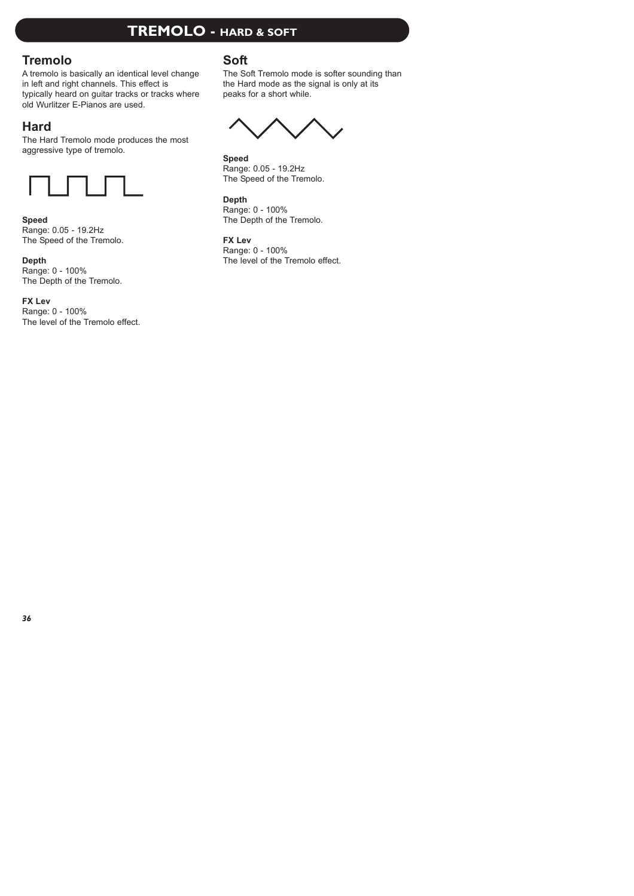# **TREMOLO - HARD & SOFT**

### **Tremolo**

A tremolo is basically an identical level change in left and right channels. This effect is typically heard on guitar tracks or tracks where old Wurlitzer E-Pianos are used.

# **Hard**

The Hard Tremolo mode produces the most aggressive type of tremolo.



### **Speed**

Range: 0.05 - 19.2Hz The Speed of the Tremolo.

**Depth** Range: 0 - 100% The Depth of the Tremolo.

**FX Lev** Range: 0 - 100% The level of the Tremolo effect.

### **Soft**

The Soft Tremolo mode is softer sounding than the Hard mode as the signal is only at its peaks for a short while.

**Speed** Range: 0.05 - 19.2Hz The Speed of the Tremolo.

**Depth** Range: 0 - 100% The Depth of the Tremolo.

### **FX Lev**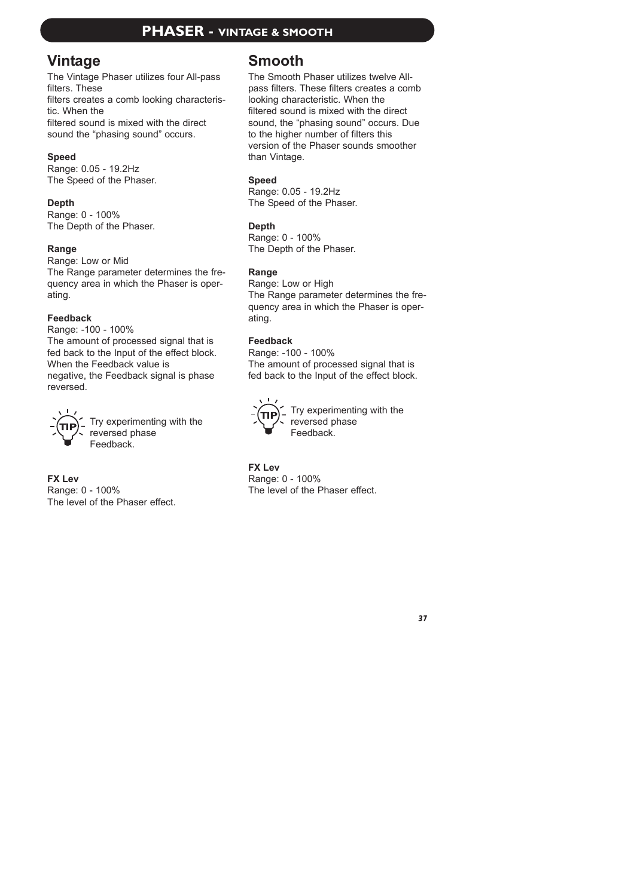### **PHASER - VINTAGE & SMOOTH**

# **Vintage**

The Vintage Phaser utilizes four All-pass filters. These filters creates a comb looking characteristic. When the filtered sound is mixed with the direct sound the "phasing sound" occurs.

### **Speed**

Range: 0.05 - 19.2Hz The Speed of the Phaser.

### **Depth**

Range: 0 - 100% The Depth of the Phaser.

### **Range**

Range: Low or Mid The Range parameter determines the frequency area in which the Phaser is operating.

### **Feedback**

Range: -100 - 100% The amount of processed signal that is fed back to the Input of the effect block. When the Feedback value is negative, the Feedback signal is phase reversed.



Try experimenting with the reversed phase Feedback.

**FX Lev** Range: 0 - 100% The level of the Phaser effect.

# **Smooth**

The Smooth Phaser utilizes twelve Allpass filters. These filters creates a comb looking characteristic. When the filtered sound is mixed with the direct sound, the "phasing sound" occurs. Due to the higher number of filters this version of the Phaser sounds smoother than Vintage.

### **Speed**

Range: 0.05 - 19.2Hz The Speed of the Phaser.

### **Depth**

Range: 0 - 100% The Depth of the Phaser.

### **Range**

Range: Low or High The Range parameter determines the frequency area in which the Phaser is operating.

### **Feedback**

Range: -100 - 100% The amount of processed signal that is fed back to the Input of the effect block.



Try experimenting with the reversed phase Feedback.

**FX Lev** Range: 0 - 100% The level of the Phaser effect.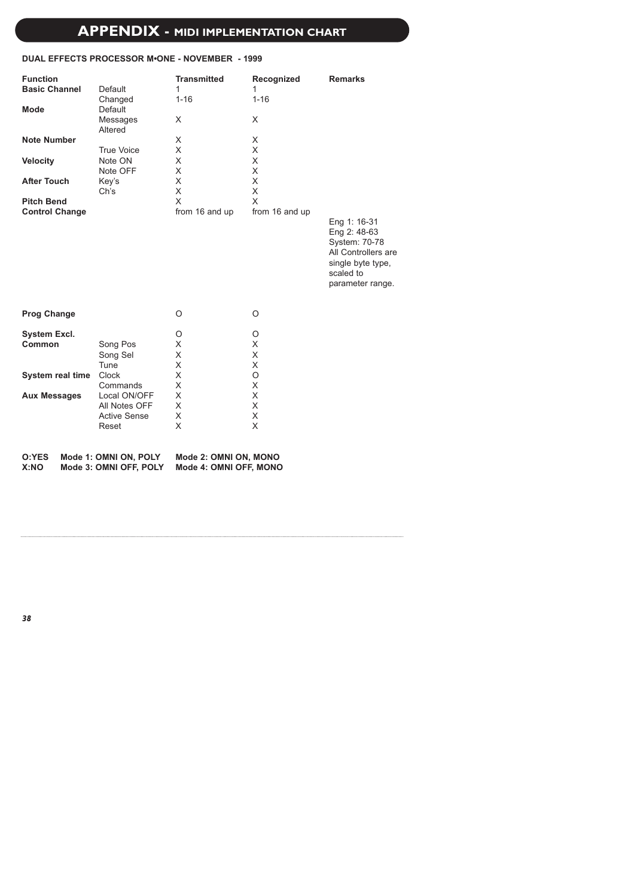# **APPENDIX - MIDI IMPLEMENTATION CHART**

### **DUAL EFFECTS PROCESSOR M•ONE - NOVEMBER - 1999**

| <b>Function</b><br><b>Basic Channel</b><br><b>Mode</b><br><b>Note Number</b><br><b>Velocity</b><br><b>After Touch</b><br><b>Pitch Bend</b><br><b>Control Change</b> | Default<br>Changed<br>Default<br>Messages<br>Altered<br><b>True Voice</b><br>Note ON<br>Note OFF<br>Key's<br>Ch's  | <b>Transmitted</b><br>1<br>$1 - 16$<br>X<br>X<br>X<br>X<br>X<br>X<br>X<br>X<br>from 16 and up | Recognized<br>1<br>$1 - 16$<br>X<br>X<br>X<br>X<br>X<br>X<br>X<br>X<br>from 16 and up | <b>Remarks</b><br>Eng 1: 16-31<br>Eng 2: 48-63<br>System: 70-78<br>All Controllers are |
|---------------------------------------------------------------------------------------------------------------------------------------------------------------------|--------------------------------------------------------------------------------------------------------------------|-----------------------------------------------------------------------------------------------|---------------------------------------------------------------------------------------|----------------------------------------------------------------------------------------|
|                                                                                                                                                                     |                                                                                                                    |                                                                                               |                                                                                       | single byte type,<br>scaled to<br>parameter range.                                     |
| <b>Prog Change</b>                                                                                                                                                  |                                                                                                                    | O                                                                                             | O                                                                                     |                                                                                        |
| <b>System Excl.</b><br>Common<br>System real time<br><b>Aux Messages</b>                                                                                            | Song Pos<br>Song Sel<br>Tune<br>Clock<br>Commands<br>Local ON/OFF<br>All Notes OFF<br><b>Active Sense</b><br>Reset | O<br>X<br>X<br>X<br>X<br>X<br>X<br>X<br>X<br>X                                                | O<br>X<br>X<br>X<br>O<br>X<br>X<br>X<br>X<br>X                                        |                                                                                        |
| O:YES<br>X:NO                                                                                                                                                       | Mode 1: OMNI ON, POLY<br>Mode 3: OMNI OFF, POLY                                                                    | Mode 2: OMNI ON, MONO<br>Mode 4: OMNI OFF, MONO                                               |                                                                                       |                                                                                        |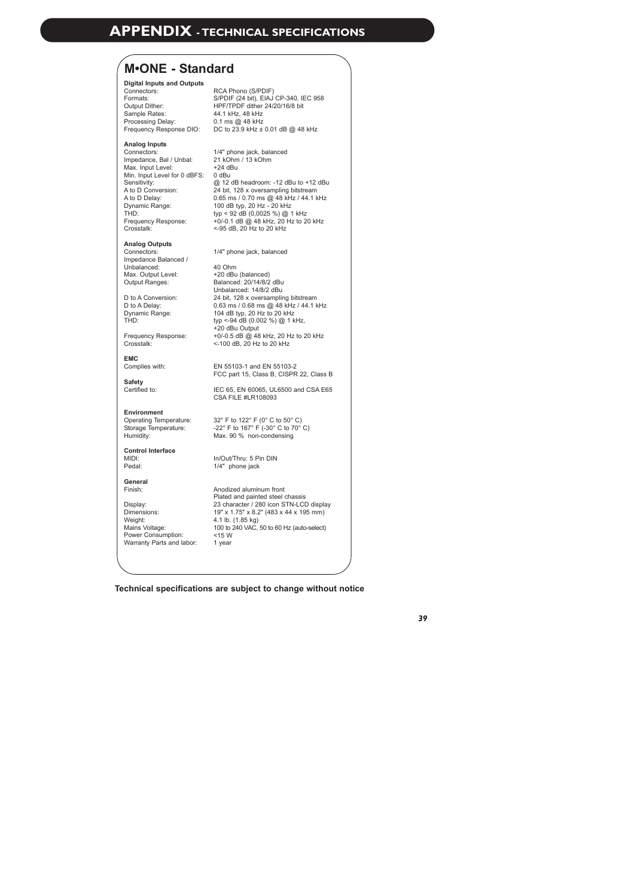### **M•ONE - Standard**

#### **Digital Inputs and Outputs**

Connectors: Formats: Output Dither: Sample Rates: Processing Delay:

#### **Analog Inputs**

Connectors: Impedance, Bal / Unbal: 21 kOhm / 13 kOhm Max. Input Level: Min. Input Level for 0 dBFS: 0 dBu Sensitivity: A to D Conversion: A to D Delay: Dynamic Range: TH<sub>D</sub> Frequency Response: Crosstalk:

#### **Analog Outputs**

Connectors: Impedance Balanced / Unbalanced: Max. Output Level: Output Ranges:

D to A Conversion: D to A Delay: Dynamic Range: THD:

Frequency Response: Crosstalk:

**EMC** Complies with:

**Safety** Certified to:

**Environment** Storage Temperature: Humidity:

**Control Interface** MIDI: Pedal:

**General** Finish:

Display: Dimensions: Weight: Mains Voltage: Power Consumption: Warranty Parts and labor: 1 year

Frequency Response DIO: DC to 23.9 kHz ± 0.01 dB @ 48 kHz RCA Phono (S/PDIF) S/PDIF (24 bit), EIAJ CP-340, IEC 958 HPF/TPDF dither 24/20/16/8 bit 44.1 kHz, 48 kHz 0.1 ms @ 48 kHz

> 1/4" phone jack, balanced +24 dBu @ 12 dB headroom: -12 dBu to +12 dBu 24 bit, 128 x oversampling bitstream 0.65 ms / 0.70 ms @ 48 kHz / 44.1 kHz 100 dB typ, 20 Hz - 20 kHz typ < 92 dB (0,0025 %) @ 1 kHz +0/-0.1 dB @ 48 kHz, 20 Hz to 20 kHz <-95 dB, 20 Hz to 20 kHz

1/4" phone jack, balanced

40 Ohm +20 dBu (balanced) Balanced: 20/14/8/2 dBu Unbalanced: 14/8/2 dBu 24 bit, 128 x oversampling bitstream 0.63 ms / 0.68 ms @ 48 kHz / 44.1 kHz 104 dB typ, 20 Hz to 20 kHz typ <-94 dB (0.002 %) @ 1 kHz, +20 dBu Output +0/-0.5 dB @ 48 kHz, 20 Hz to 20 kHz <-100 dB, 20 Hz to 20 kHz

EN 55103-1 and EN 55103-2 FCC part 15, Class B, CISPR 22, Class B

IEC 65, EN 60065, UL6500 and CSA E65 CSA FILE #LR108093

Operating Temperature: 32° F to 122° F (0° C to 50° C) -22° F to 167° F (-30° C to 70° C) Max. 90 % non-condensing

> In/Out/Thru: 5 Pin DIN 1/4" phone jack

Anodized aluminum front Plated and painted steel chassis 23 character / 280 icon STN-LCD display 19" x 1.75" x 8.2" (483 x 44 x 195 mm) 4.1 lb. (1.85 kg) 100 to 240 VAC, 50 to 60 Hz (auto-select) <15 W

**Technical specifications are subject to change without notice**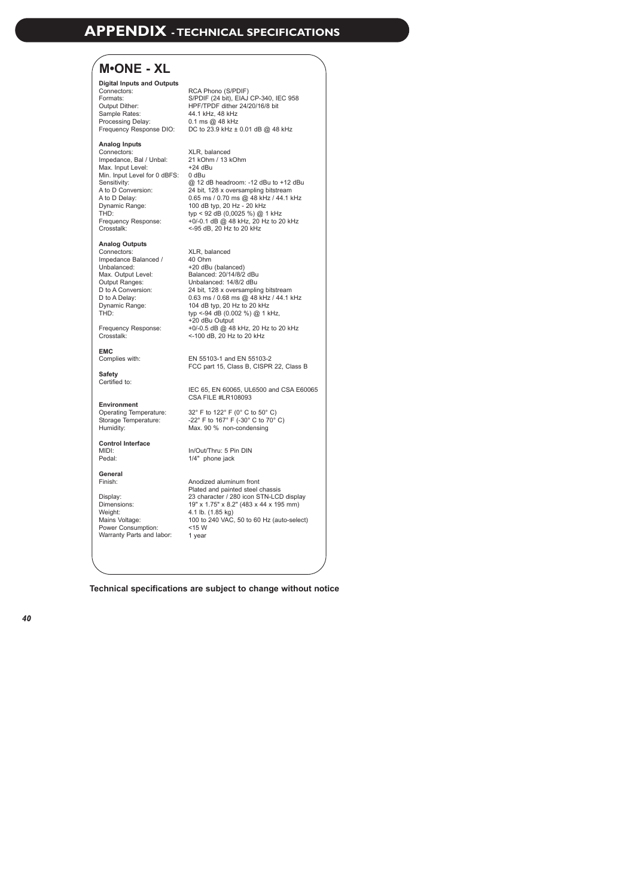# **M•ONE - XL**

#### **Digital Inputs and Outputs**

Connectors: Formats: Output Dither: Sample Rates: Processing Delay: 44.1 kHz, 48 kHz 0.1 ms @ 48 kHz

#### **Analog Inputs**

Connectors: Impedance, Bal / Unbal: 21 kOhm / 13 kOhm Max. Input Level: Min. Input Level for 0 dBFS: 0 dBu Sensitivity: A to D Conversion:<br>A to D Delay: A to D Delay: Dynamic Range: TH<sub>D</sub> Frequency Response: Crosstalk:

#### **Analog Outputs**

Connectors:<br>Impedance Balanced / Impedance Balanced / Unbalanced: Max. Output Level: Output Ranges: D to A Conversion: D to A Delay: Dynamic Range: D to A Delay.<br>Dynamic Range:<br>THD:

Crosstalk:

#### **EMC**

Complies with:

**Safety** Certified to:

#### **Environment**

Operating Temperature: Storage Temperature: Humidity:

#### **Control Interface** MIDI: Pedal:

#### **General** Finish:

Display: Dimensions: Weight: Mains Voltage: Power Consumption: Warranty Parts and labor: 1 year

Frequency Response DIO: DC to 23.9 kHz ± 0.01 dB @ 48 kHz RCA Phono (S/PDIF) S/PDIF (24 bit), EIAJ CP-340, IEC 958 HPF/TPDF dither 24/20/16/8 bit

> XLR, balanced +24 dBu @ 12 dB headroom: -12 dBu to +12 dBu 24 bit, 128 x oversampling bitstream 0.65 ms / 0.70 ms @ 48 kHz / 44.1 kHz 100 dB typ, 20 Hz - 20 kHz typ < 92 dB (0,0025 %) @ 1 kHz +0/-0.1 dB @ 48 kHz, 20 Hz to 20 kHz <-95 dB, 20 Hz to 20 kHz

Frequency Response: +0/-0.5 dB @ 48 kHz, 20 Hz to 20 kHz XLR, balanced<br>40 Ohm 40 Ohm<br>+20 dBu (balanced)<br>Balanced: 20/14/8/2 dBu<br>Unbalanced: 14/8/2 dBu<br>24 bit, 128 x oversampling bitstream<br>0.63 ms / 0.68 ms @ 48 kHz / 44.1 kHz<br>104 dB typ, 20 Hz to 20 kHz 104 dB typ, 20 Hz to 20 kHz<br>typ <-94 dB (0.002 %) @ 1 kHz, +20 dBu Output <-100 dB, 20 Hz to 20 kHz

> EN 55103-1 and EN 55103-2 FCC part 15, Class B, CISPR 22, Class B

IEC 65, EN 60065, UL6500 and CSA E60065 CSA FILE #LR108093

32° F to 122° F (0° C to 50° C) -22° F to 167° F (-30° C to 70° C) Max. 90 % non-condensing

In/Out/Thru: 5 Pin DIN 1/4" phone jack

Anodized aluminum front Plated and painted steel chassis 23 character / 280 icon STN-LCD display 19" x 1.75" x 8.2" (483 x 44 x 195 mm) 4.1 lb. (1.85 kg) 100 to 240 VAC, 50 to 60 Hz (auto-select) <15 W

**Technical specifications are subject to change without notice**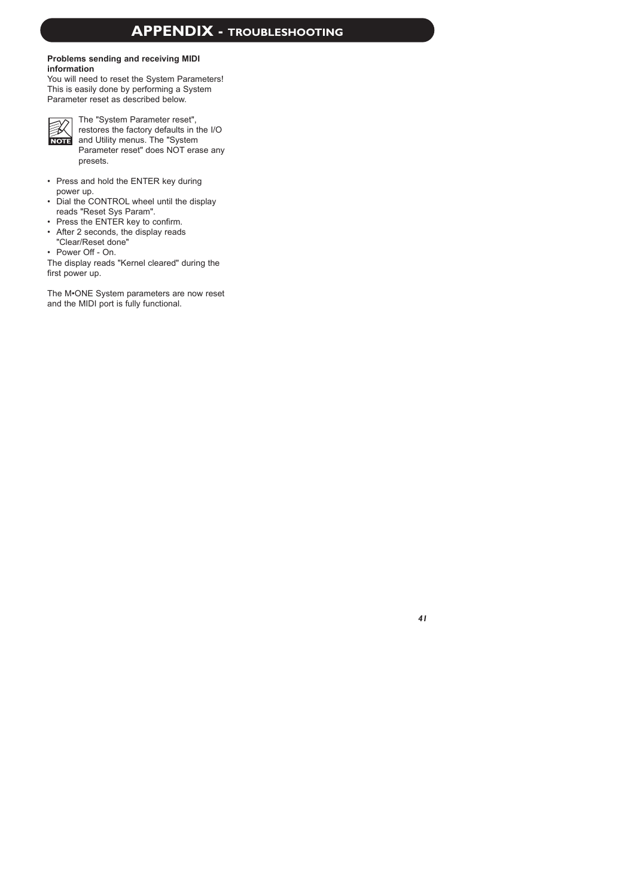### **Problems sending and receiving MIDI information**

You will need to reset the System Parameters! This is easily done by performing a System Parameter reset as described below.



The "System Parameter reset", restores the factory defaults in the I/O and Utility menus. The "System Parameter reset" does NOT erase any presets.

- Press and hold the ENTER key during power up.
- Dial the CONTROL wheel until the display reads "Reset Sys Param".
- Press the ENTER key to confirm.
- After 2 seconds, the display reads "Clear/Reset done"
- Power  $Off On$

The display reads "Kernel cleared" during the first power up.

The M•ONE System parameters are now reset and the MIDI port is fully functional.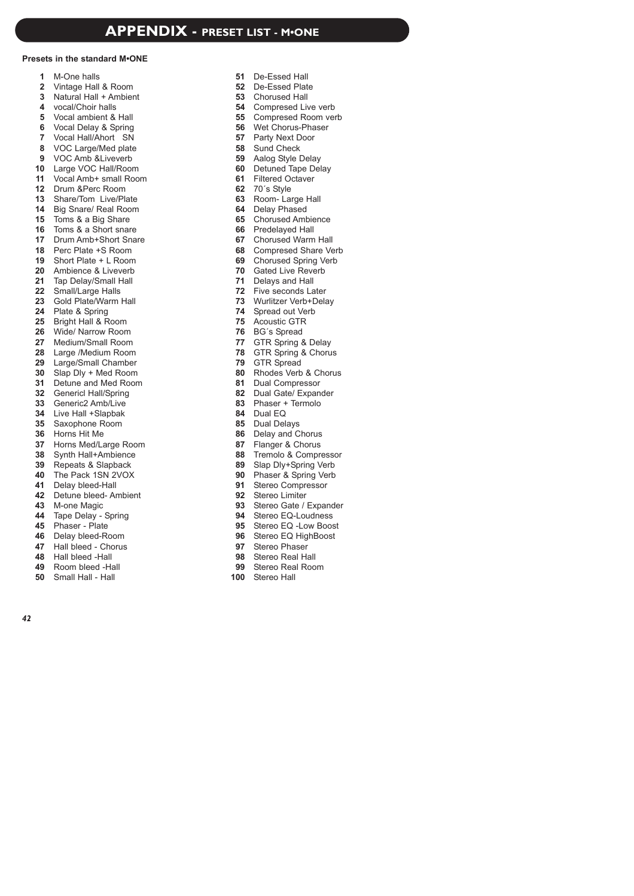### **Presets in the standard M•ONE**

- $\overline{1}$ M-One halls
- Vintage Hall & Room
- Natural Hall + Ambient
- 4 vocal/Choir halls
- Vocal ambient & Hall
- Vocal Delay & Spring
- Vocal Hall/Ahort SN
- 8 VOC Large/Med plate
- 9 VOC Amb & Liveverb
- Large VOC Hall/Room
- Vocal Amb+ small Room
- Drum &Perc Room
- Share/Tom Live/Plate
- 14 Big Snare/ Real Room
- 15 Toms & a Big Share
- 16 Toms & a Short snare
- 17 Drum Amb+Short Snare
- 18 Perc Plate +S Room
- Short Plate + L Room
- Ambience & Liveverb
- Tap Delay/Small Hall
- Small/Large Halls
- Gold Plate/Warm Hall
- Plate & Spring
- 25 Bright Hall & Room
- Wide/ Narrow Room
- Medium/Small Room
- Large /Medium Room
- Large/Small Chamber
- Slap Dly + Med Room
- Detune and Med Room
- Genericl Hall/Spring
- Generic2 Amb/Live
- Live Hall +Slapbak
- 35 Saxophone Room
- Horns Hit Me
- Horns Med/Large Room
- Synth Hall+Ambience
- 39 Repeats & Slapback
- The Pack 1SN 2VOX
- Delay bleed-Hall
- Detune bleed- Ambient
- 43 M-one Magic
- 44 Tape Delay Spring
- Phaser Plate
- 46 Delay bleed-Room
- 47 Hall bleed Chorus
- Hall bleed -Hall
- Room bleed -Hall
- Small Hall Hall

- De-Essed Hall
- De-Essed Plate
- Chorused Hall
- Compresed Live verb
- Compresed Room verb
- Wet Chorus-Phaser
- Party Next Door
- Sund Check
- Aalog Style Delay
- 60 Detuned Tape Delay
- Filtered Octaver
- 70´s Style
- Room- Large Hall
- 64 Delay Phased
- Chorused Ambience
- 66 Predelayed Hall
- Chorused Warm Hall
- Compresed Share Verb
- Chorused Spring Verb
- Gated Live Reverb
- 71 Delays and Hall
- Five seconds Later
- Wurlitzer Verb+Delay
- Spread out Verb
- Acoustic GTR
- BG´s Spread
- GTR Spring & Delay
- GTR Spring & Chorus
- GTR Spread
- Rhodes Verb & Chorus
- 81 Dual Compressor
- 82 Dual Gate/ Expander
- Phaser + Termolo
- 84 Dual EQ
- 85 Dual Delays
- 86 Delay and Chorus
- Flanger & Chorus
- 88 Tremolo & Compressor
- Slap Dly+Spring Verb
- 90 Phaser & Spring Verb
- 91 Stereo Compressor
- Stereo Limiter
- 93 Stereo Gate / Expander
- Stereo EQ-Loudness
- 95 Stereo EQ -Low Boost
- 96 Stereo EQ HighBoost
- Stereo Phaser

100 Stereo Hall

Stereo Real Hall Stereo Real Room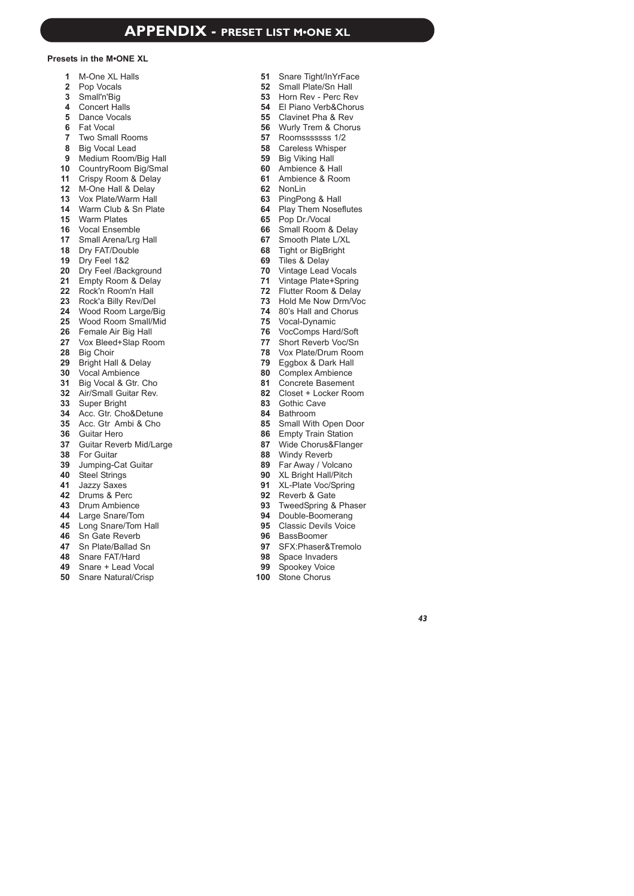### **Presets in the M•ONE XL**

- $\mathbf{1}$ M-One XL Halls
- 2 Pop Vocals
- Small'n'Big
- 4 Concert Halls
- 5 Dance Vocals
- Fat Vocal
- Two Small Rooms
- 8 Big Vocal Lead
- 9 Medium Room/Big Hall
- CountryRoom Big/Smal
- 11 Crispy Room & Delay
- M-One Hall & Delay
- Vox Plate/Warm Hall
- Warm Club & Sn Plate
- Warm Plates
- Vocal Ensemble
- Small Arena/Lrg Hall
- 18 Dry FAT/Double
- Dry Feel 1&2
- 20 Dry Feel /Background
- Empty Room & Delay
- Rock'n Room'n Hall
- 23 Rock'a Billy Rev/Del
- Wood Room Large/Big
- Wood Room Small/Mid
- Female Air Big Hall
- Vox Bleed+Slap Room
- 28 Big Choir
- 29 Bright Hall & Delay
- Vocal Ambience
- Big Vocal & Gtr. Cho
- Air/Small Guitar Rev.
- Super Bright
- Acc. Gtr. Cho&Detune
- 35 Acc. Gtr Ambi & Cho
- Guitar Hero
- Guitar Reverb Mid/Large
- For Guitar
- Jumping-Cat Guitar
- Steel Strings
- Jazzy Saxes
- Drums & Perc
- Drum Ambience
- Large Snare/Tom
- Long Snare/Tom Hall
- 46 Sn Gate Reverb
- Sn Plate/Ballad Sn
- Snare FAT/Hard
- Snare + Lead Vocal
- Snare Natural/Crisp
- Snare Tight/InYrFace
- Small Plate/Sn Hall
- Horn Rev Perc Rev
- El Piano Verb&Chorus
- Clavinet Pha & Rev
- Wurly Trem & Chorus
- Roomsssssss 1/2
- Careless Whisper
- Big Viking Hall
- Ambience & Hall
- Ambience & Room
- NonLin
- PingPong & Hall
- Play Them Noseflutes
- Pop Dr./Vocal
- 66 Small Room & Delay
- Smooth Plate L/XL
- Tight or BigBright
- Tiles & Delay
- Vintage Lead Vocals
- Vintage Plate+Spring
- Flutter Room & Delay
- 73 Hold Me Now Drm/Voc
- 80's Hall and Chorus
- Vocal-Dynamic
- VocComps Hard/Soft
- Short Reverb Voc/Sn
- Vox Plate/Drum Room
- Eggbox & Dark Hall
- Complex Ambience
- Concrete Basement
- Closet + Locker Room
- Gothic Cave
- Bathroom
- 85 Small With Open Door
- Empty Train Station
- Wide Chorus&Flanger
- Windy Reverb
- Far Away / Volcano
- XL Bright Hall/Pitch
- XL-Plate Voc/Spring
- Reverb & Gate
- TweedSpring & Phaser
- 94 Double-Boomerang
- Classic Devils Voice
- 96 BassBoomer

Stone Chorus

SFX:Phaser&Tremolo

98 Space Invaders 99 Spookey Voice